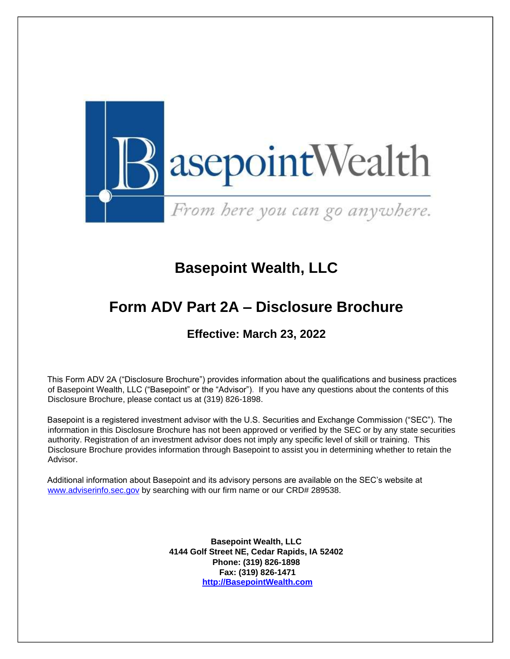

# **Basepoint Wealth, LLC**

# **Form ADV Part 2A – Disclosure Brochure**

# **Effective: March 23, 2022**

This Form ADV 2A ("Disclosure Brochure") provides information about the qualifications and business practices of Basepoint Wealth, LLC ("Basepoint" or the "Advisor"). If you have any questions about the contents of this Disclosure Brochure, please contact us at (319) 826-1898.

Basepoint is a registered investment advisor with the U.S. Securities and Exchange Commission ("SEC"). The information in this Disclosure Brochure has not been approved or verified by the SEC or by any state securities authority. Registration of an investment advisor does not imply any specific level of skill or training. This Disclosure Brochure provides information through Basepoint to assist you in determining whether to retain the Advisor.

Additional information about Basepoint and its advisory persons are available on the SEC's website at [www.adviserinfo.sec.gov](http://www.adviserinfo.sec.gov/) by searching with our firm name or our CRD# 289538.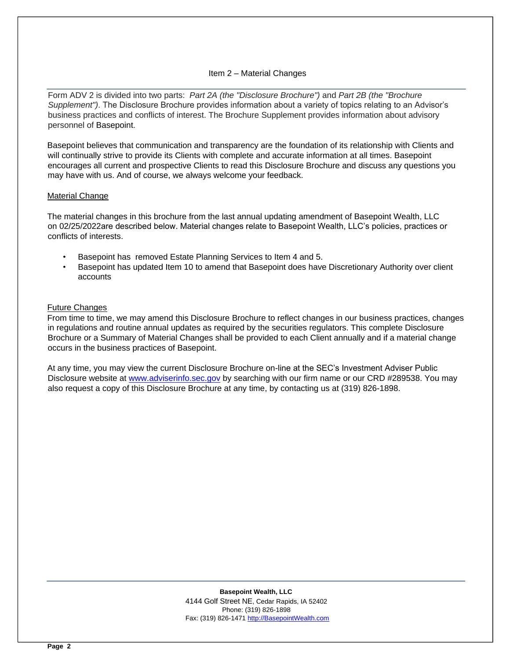# Item 2 – Material Changes

<span id="page-1-0"></span>Form ADV 2 is divided into two parts: *Part 2A (the "Disclosure Brochure")* and *Part 2B (the "Brochure Supplement")*. The Disclosure Brochure provides information about a variety of topics relating to an Advisor's business practices and conflicts of interest. The Brochure Supplement provides information about advisory personnel of Basepoint.

Basepoint believes that communication and transparency are the foundation of its relationship with Clients and will continually strive to provide its Clients with complete and accurate information at all times. Basepoint encourages all current and prospective Clients to read this Disclosure Brochure and discuss any questions you may have with us. And of course, we always welcome your feedback.

#### Material Change

The material changes in this brochure from the last annual updating amendment of Basepoint Wealth, LLC on 02/25/2022are described below. Material changes relate to Basepoint Wealth, LLC's policies, practices or conflicts of interests.

- Basepoint has removed Estate Planning Services to Item 4 and 5.
- Basepoint has updated Item 10 to amend that Basepoint does have Discretionary Authority over client accounts

#### Future Changes

From time to time, we may amend this Disclosure Brochure to reflect changes in our business practices, changes in regulations and routine annual updates as required by the securities regulators. This complete Disclosure Brochure or a Summary of Material Changes shall be provided to each Client annually and if a material change occurs in the business practices of Basepoint.

At any time, you may view the current Disclosure Brochure on-line at the SEC's Investment Adviser Public Disclosure website at [www.adviserinfo.sec.gov](http://www.adviserinfo.sec.gov/) by searching with our firm name or our CRD #289538. You may also request a copy of this Disclosure Brochure at any time, by contacting us at (319) 826-1898.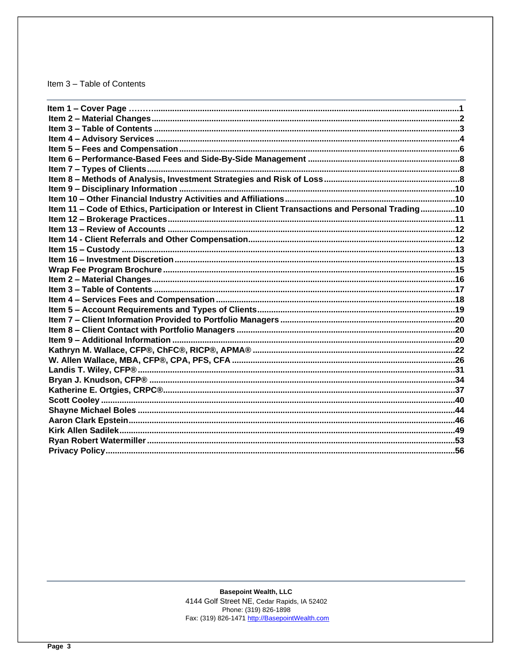# <span id="page-2-0"></span>Item 3 - Table of Contents

| Item 11 - Code of Ethics, Participation or Interest in Client Transactions and Personal Trading10 |  |
|---------------------------------------------------------------------------------------------------|--|
|                                                                                                   |  |
|                                                                                                   |  |
|                                                                                                   |  |
|                                                                                                   |  |
|                                                                                                   |  |
|                                                                                                   |  |
|                                                                                                   |  |
|                                                                                                   |  |
|                                                                                                   |  |
|                                                                                                   |  |
|                                                                                                   |  |
|                                                                                                   |  |
|                                                                                                   |  |
|                                                                                                   |  |
|                                                                                                   |  |
|                                                                                                   |  |
|                                                                                                   |  |
|                                                                                                   |  |
|                                                                                                   |  |
|                                                                                                   |  |
|                                                                                                   |  |
|                                                                                                   |  |
|                                                                                                   |  |
|                                                                                                   |  |
|                                                                                                   |  |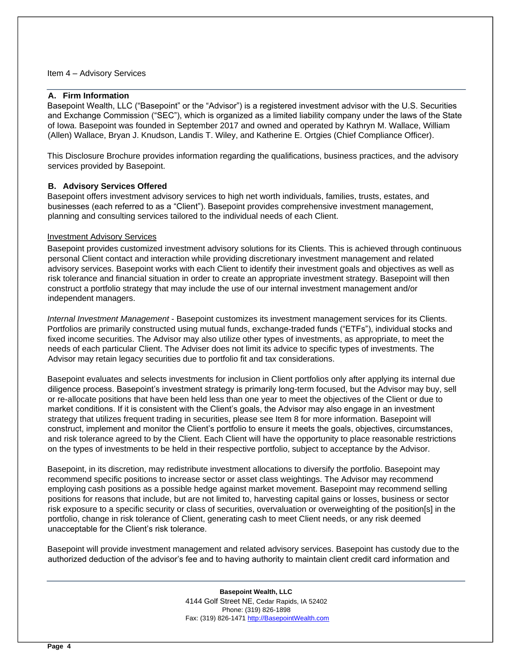#### <span id="page-3-0"></span>Item 4 – Advisory Services

# **A. Firm Information**

Basepoint Wealth, LLC ("Basepoint" or the "Advisor") is a registered investment advisor with the U.S. Securities and Exchange Commission ("SEC"), which is organized as a limited liability company under the laws of the State of Iowa. Basepoint was founded in September 2017 and owned and operated by Kathryn M. Wallace, William (Allen) Wallace, Bryan J. Knudson, Landis T. Wiley, and Katherine E. Ortgies (Chief Compliance Officer).

This Disclosure Brochure provides information regarding the qualifications, business practices, and the advisory services provided by Basepoint.

# **B. Advisory Services Offered**

Basepoint offers investment advisory services to high net worth individuals, families, trusts, estates, and businesses (each referred to as a "Client"). Basepoint provides comprehensive investment management, planning and consulting services tailored to the individual needs of each Client.

#### Investment Advisory Services

Basepoint provides customized investment advisory solutions for its Clients. This is achieved through continuous personal Client contact and interaction while providing discretionary investment management and related advisory services. Basepoint works with each Client to identify their investment goals and objectives as well as risk tolerance and financial situation in order to create an appropriate investment strategy. Basepoint will then construct a portfolio strategy that may include the use of our internal investment management and/or independent managers.

*Internal Investment Management* - Basepoint customizes its investment management services for its Clients. Portfolios are primarily constructed using mutual funds, exchange-traded funds ("ETFs"), individual stocks and fixed income securities. The Advisor may also utilize other types of investments, as appropriate, to meet the needs of each particular Client. The Adviser does not limit its advice to specific types of investments. The Advisor may retain legacy securities due to portfolio fit and tax considerations.

Basepoint evaluates and selects investments for inclusion in Client portfolios only after applying its internal due diligence process. Basepoint's investment strategy is primarily long-term focused, but the Advisor may buy, sell or re-allocate positions that have been held less than one year to meet the objectives of the Client or due to market conditions. If it is consistent with the Client's goals, the Advisor may also engage in an investment strategy that utilizes frequent trading in securities, please see Item 8 for more information. Basepoint will construct, implement and monitor the Client's portfolio to ensure it meets the goals, objectives, circumstances, and risk tolerance agreed to by the Client. Each Client will have the opportunity to place reasonable restrictions on the types of investments to be held in their respective portfolio, subject to acceptance by the Advisor.

Basepoint, in its discretion, may redistribute investment allocations to diversify the portfolio. Basepoint may recommend specific positions to increase sector or asset class weightings. The Advisor may recommend employing cash positions as a possible hedge against market movement. Basepoint may recommend selling positions for reasons that include, but are not limited to, harvesting capital gains or losses, business or sector risk exposure to a specific security or class of securities, overvaluation or overweighting of the position[s] in the portfolio, change in risk tolerance of Client, generating cash to meet Client needs, or any risk deemed unacceptable for the Client's risk tolerance.

Basepoint will provide investment management and related advisory services. Basepoint has custody due to the authorized deduction of the advisor's fee and to having authority to maintain client credit card information and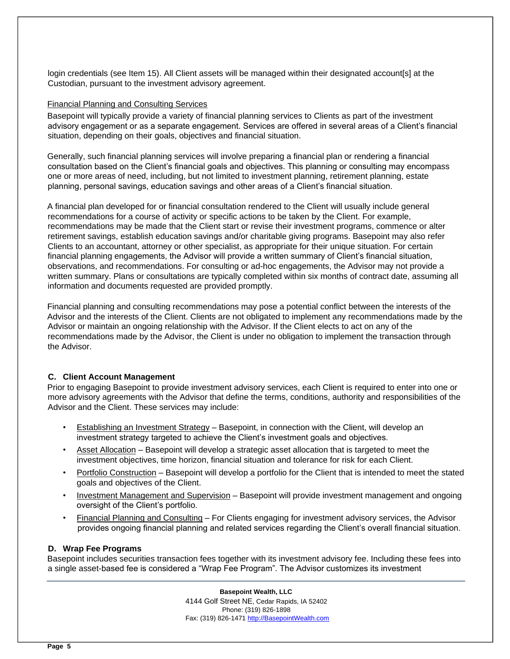login credentials (see Item 15). All Client assets will be managed within their designated account[s] at the Custodian, pursuant to the investment advisory agreement.

#### Financial Planning and Consulting Services

Basepoint will typically provide a variety of financial planning services to Clients as part of the investment advisory engagement or as a separate engagement. Services are offered in several areas of a Client's financial situation, depending on their goals, objectives and financial situation.

Generally, such financial planning services will involve preparing a financial plan or rendering a financial consultation based on the Client's financial goals and objectives. This planning or consulting may encompass one or more areas of need, including, but not limited to investment planning, retirement planning, estate planning, personal savings, education savings and other areas of a Client's financial situation.

A financial plan developed for or financial consultation rendered to the Client will usually include general recommendations for a course of activity or specific actions to be taken by the Client. For example, recommendations may be made that the Client start or revise their investment programs, commence or alter retirement savings, establish education savings and/or charitable giving programs. Basepoint may also refer Clients to an accountant, attorney or other specialist, as appropriate for their unique situation. For certain financial planning engagements, the Advisor will provide a written summary of Client's financial situation, observations, and recommendations. For consulting or ad-hoc engagements, the Advisor may not provide a written summary. Plans or consultations are typically completed within six months of contract date, assuming all information and documents requested are provided promptly.

Financial planning and consulting recommendations may pose a potential conflict between the interests of the Advisor and the interests of the Client. Clients are not obligated to implement any recommendations made by the Advisor or maintain an ongoing relationship with the Advisor. If the Client elects to act on any of the recommendations made by the Advisor, the Client is under no obligation to implement the transaction through the Advisor.

# **C. Client Account Management**

Prior to engaging Basepoint to provide investment advisory services, each Client is required to enter into one or more advisory agreements with the Advisor that define the terms, conditions, authority and responsibilities of the Advisor and the Client. These services may include:

- Establishing an Investment Strategy Basepoint, in connection with the Client, will develop an investment strategy targeted to achieve the Client's investment goals and objectives.
- Asset Allocation Basepoint will develop a strategic asset allocation that is targeted to meet the investment objectives, time horizon, financial situation and tolerance for risk for each Client.
- Portfolio Construction Basepoint will develop a portfolio for the Client that is intended to meet the stated goals and objectives of the Client.
- Investment Management and Supervision Basepoint will provide investment management and ongoing oversight of the Client's portfolio.
- Financial Planning and Consulting For Clients engaging for investment advisory services, the Advisor provides ongoing financial planning and related services regarding the Client's overall financial situation.

# **D. Wrap Fee Programs**

Basepoint includes securities transaction fees together with its investment advisory fee. Including these fees into a single asset-based fee is considered a "Wrap Fee Program". The Advisor customizes its investment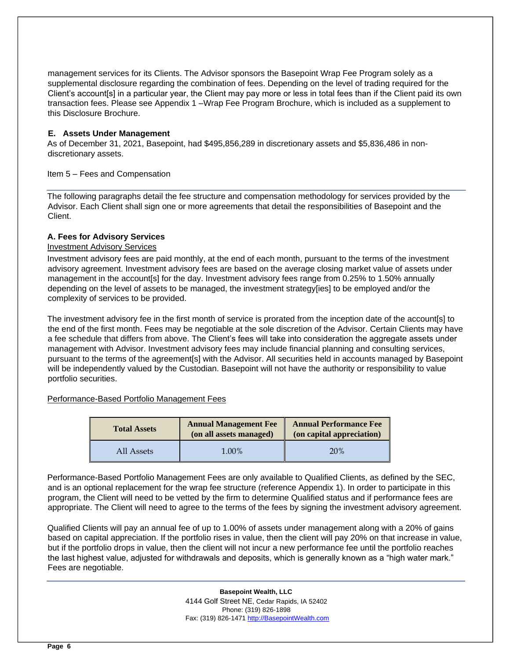management services for its Clients. The Advisor sponsors the Basepoint Wrap Fee Program solely as a supplemental disclosure regarding the combination of fees. Depending on the level of trading required for the Client's account[s] in a particular year, the Client may pay more or less in total fees than if the Client paid its own transaction fees. Please see Appendix 1 –Wrap Fee Program Brochure, which is included as a supplement to this Disclosure Brochure.

# **E. Assets Under Management**

As of December 31, 2021, Basepoint, had \$495,856,289 in discretionary assets and \$5,836,486 in nondiscretionary assets.

# <span id="page-5-0"></span>Item 5 – Fees and Compensation

The following paragraphs detail the fee structure and compensation methodology for services provided by the Advisor. Each Client shall sign one or more agreements that detail the responsibilities of Basepoint and the Client.

# **A. Fees for Advisory Services**

# Investment Advisory Services

Investment advisory fees are paid monthly, at the end of each month, pursuant to the terms of the investment advisory agreement. Investment advisory fees are based on the average closing market value of assets under management in the account[s] for the day. Investment advisory fees range from 0.25% to 1.50% annually depending on the level of assets to be managed, the investment strategy[ies] to be employed and/or the complexity of services to be provided.

The investment advisory fee in the first month of service is prorated from the inception date of the account[s] to the end of the first month. Fees may be negotiable at the sole discretion of the Advisor. Certain Clients may have a fee schedule that differs from above. The Client's fees will take into consideration the aggregate assets under management with Advisor. Investment advisory fees may include financial planning and consulting services, pursuant to the terms of the agreement[s] with the Advisor. All securities held in accounts managed by Basepoint will be independently valued by the Custodian. Basepoint will not have the authority or responsibility to value portfolio securities.

#### Performance-Based Portfolio Management Fees

| <b>Total Assets</b> | <b>Annual Management Fee</b><br>(on all assets managed) | <b>Annual Performance Fee</b><br>(on capital appreciation) |
|---------------------|---------------------------------------------------------|------------------------------------------------------------|
| All Assets          | 1.00%                                                   | 20%                                                        |

Performance-Based Portfolio Management Fees are only available to Qualified Clients, as defined by the SEC, and is an optional replacement for the wrap fee structure (reference Appendix 1). In order to participate in this program, the Client will need to be vetted by the firm to determine Qualified status and if performance fees are appropriate. The Client will need to agree to the terms of the fees by signing the investment advisory agreement.

Qualified Clients will pay an annual fee of up to 1.00% of assets under management along with a 20% of gains based on capital appreciation. If the portfolio rises in value, then the client will pay 20% on that increase in value, but if the portfolio drops in value, then the client will not incur a new performance fee until the portfolio reaches the last highest value, adjusted for withdrawals and deposits, which is generally known as a "high water mark." Fees are negotiable.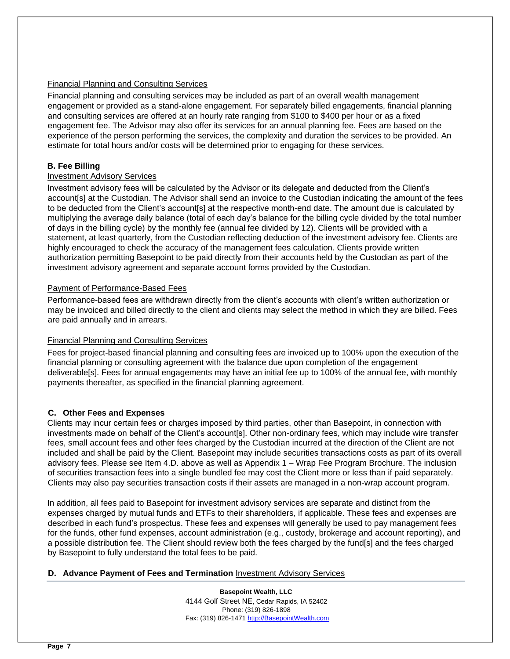# Financial Planning and Consulting Services

Financial planning and consulting services may be included as part of an overall wealth management engagement or provided as a stand-alone engagement. For separately billed engagements, financial planning and consulting services are offered at an hourly rate ranging from \$100 to \$400 per hour or as a fixed engagement fee. The Advisor may also offer its services for an annual planning fee. Fees are based on the experience of the person performing the services, the complexity and duration the services to be provided. An estimate for total hours and/or costs will be determined prior to engaging for these services.

# **B. Fee Billing**

# Investment Advisory Services

Investment advisory fees will be calculated by the Advisor or its delegate and deducted from the Client's account[s] at the Custodian. The Advisor shall send an invoice to the Custodian indicating the amount of the fees to be deducted from the Client's account[s] at the respective month-end date. The amount due is calculated by multiplying the average daily balance (total of each day's balance for the billing cycle divided by the total number of days in the billing cycle) by the monthly fee (annual fee divided by 12). Clients will be provided with a statement, at least quarterly, from the Custodian reflecting deduction of the investment advisory fee. Clients are highly encouraged to check the accuracy of the management fees calculation. Clients provide written authorization permitting Basepoint to be paid directly from their accounts held by the Custodian as part of the investment advisory agreement and separate account forms provided by the Custodian.

# Payment of Performance-Based Fees

Performance-based fees are withdrawn directly from the client's accounts with client's written authorization or may be invoiced and billed directly to the client and clients may select the method in which they are billed. Fees are paid annually and in arrears.

# Financial Planning and Consulting Services

Fees for project-based financial planning and consulting fees are invoiced up to 100% upon the execution of the financial planning or consulting agreement with the balance due upon completion of the engagement deliverable[s]. Fees for annual engagements may have an initial fee up to 100% of the annual fee, with monthly payments thereafter, as specified in the financial planning agreement.

# **C. Other Fees and Expenses**

Clients may incur certain fees or charges imposed by third parties, other than Basepoint, in connection with investments made on behalf of the Client's account[s]. Other non-ordinary fees, which may include wire transfer fees, small account fees and other fees charged by the Custodian incurred at the direction of the Client are not included and shall be paid by the Client. Basepoint may include securities transactions costs as part of its overall advisory fees. Please see Item 4.D. above as well as Appendix 1 – Wrap Fee Program Brochure. The inclusion of securities transaction fees into a single bundled fee may cost the Client more or less than if paid separately. Clients may also pay securities transaction costs if their assets are managed in a non-wrap account program.

In addition, all fees paid to Basepoint for investment advisory services are separate and distinct from the expenses charged by mutual funds and ETFs to their shareholders, if applicable. These fees and expenses are described in each fund's prospectus. These fees and expenses will generally be used to pay management fees for the funds, other fund expenses, account administration (e.g., custody, brokerage and account reporting), and a possible distribution fee. The Client should review both the fees charged by the fund[s] and the fees charged by Basepoint to fully understand the total fees to be paid.

#### **D. Advance Payment of Fees and Termination** Investment Advisory Services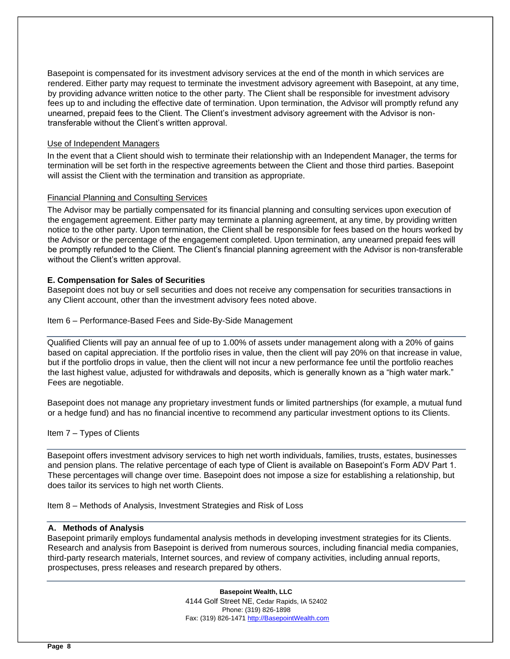Basepoint is compensated for its investment advisory services at the end of the month in which services are rendered. Either party may request to terminate the investment advisory agreement with Basepoint, at any time, by providing advance written notice to the other party. The Client shall be responsible for investment advisory fees up to and including the effective date of termination. Upon termination, the Advisor will promptly refund any unearned, prepaid fees to the Client. The Client's investment advisory agreement with the Advisor is nontransferable without the Client's written approval.

# Use of Independent Managers

In the event that a Client should wish to terminate their relationship with an Independent Manager, the terms for termination will be set forth in the respective agreements between the Client and those third parties. Basepoint will assist the Client with the termination and transition as appropriate.

# Financial Planning and Consulting Services

The Advisor may be partially compensated for its financial planning and consulting services upon execution of the engagement agreement. Either party may terminate a planning agreement, at any time, by providing written notice to the other party. Upon termination, the Client shall be responsible for fees based on the hours worked by the Advisor or the percentage of the engagement completed. Upon termination, any unearned prepaid fees will be promptly refunded to the Client. The Client's financial planning agreement with the Advisor is non-transferable without the Client's written approval.

# **E. Compensation for Sales of Securities**

Basepoint does not buy or sell securities and does not receive any compensation for securities transactions in any Client account, other than the investment advisory fees noted above.

<span id="page-7-0"></span>Item 6 – Performance-Based Fees and Side-By-Side Management

Qualified Clients will pay an annual fee of up to 1.00% of assets under management along with a 20% of gains based on capital appreciation. If the portfolio rises in value, then the client will pay 20% on that increase in value, but if the portfolio drops in value, then the client will not incur a new performance fee until the portfolio reaches the last highest value, adjusted for withdrawals and deposits, which is generally known as a "high water mark." Fees are negotiable.

Basepoint does not manage any proprietary investment funds or limited partnerships (for example, a mutual fund or a hedge fund) and has no financial incentive to recommend any particular investment options to its Clients.

#### <span id="page-7-1"></span>Item 7 – Types of Clients

Basepoint offers investment advisory services to high net worth individuals, families, trusts, estates, businesses and pension plans. The relative percentage of each type of Client is available on Basepoint's Form ADV Part 1. These percentages will change over time. Basepoint does not impose a size for establishing a relationship, but does tailor its services to high net worth Clients.

<span id="page-7-2"></span>Item 8 – Methods of Analysis, Investment Strategies and Risk of Loss

#### **A. Methods of Analysis**

Basepoint primarily employs fundamental analysis methods in developing investment strategies for its Clients. Research and analysis from Basepoint is derived from numerous sources, including financial media companies, third-party research materials, Internet sources, and review of company activities, including annual reports, prospectuses, press releases and research prepared by others.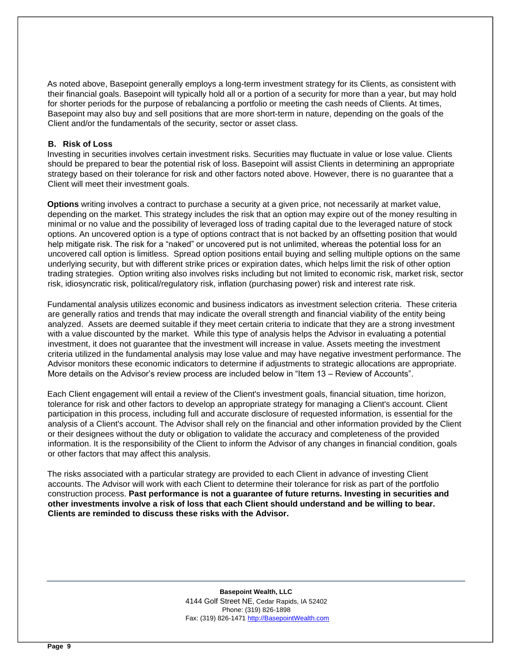As noted above, Basepoint generally employs a long-term investment strategy for its Clients, as consistent with their financial goals. Basepoint will typically hold all or a portion of a security for more than a year, but may hold for shorter periods for the purpose of rebalancing a portfolio or meeting the cash needs of Clients. At times, Basepoint may also buy and sell positions that are more short-term in nature, depending on the goals of the Client and/or the fundamentals of the security, sector or asset class.

#### **B. Risk of Loss**

Investing in securities involves certain investment risks. Securities may fluctuate in value or lose value. Clients should be prepared to bear the potential risk of loss. Basepoint will assist Clients in determining an appropriate strategy based on their tolerance for risk and other factors noted above. However, there is no guarantee that a Client will meet their investment goals.

**Options** writing involves a contract to purchase a security at a given price, not necessarily at market value, depending on the market. This strategy includes the risk that an option may expire out of the money resulting in minimal or no value and the possibility of leveraged loss of trading capital due to the leveraged nature of stock options. An uncovered option is a type of options contract that is not backed by an offsetting position that would help mitigate risk. The risk for a "naked" or uncovered put is not unlimited, whereas the potential loss for an uncovered call option is limitless. Spread option positions entail buying and selling multiple options on the same underlying security, but with differen[t](http://en.wikipedia.org/wiki/Strike_price) [strike prices](http://en.wikipedia.org/wiki/Strike_price) [o](http://en.wikipedia.org/wiki/Strike_price)r expiration dates, which helps limit the risk of other option trading strategies. Option writing also involves risks including but not limited to economic risk, market risk, sector risk, idiosyncratic risk, political/regulatory risk, inflation (purchasing power) risk and interest rate risk.

Fundamental analysis utilizes economic and business indicators as investment selection criteria. These criteria are generally ratios and trends that may indicate the overall strength and financial viability of the entity being analyzed. Assets are deemed suitable if they meet certain criteria to indicate that they are a strong investment with a value discounted by the market. While this type of analysis helps the Advisor in evaluating a potential investment, it does not guarantee that the investment will increase in value. Assets meeting the investment criteria utilized in the fundamental analysis may lose value and may have negative investment performance. The Advisor monitors these economic indicators to determine if adjustments to strategic allocations are appropriate. More details on the Advisor's review process are included below in "Item 13 – Review of Accounts".

Each Client engagement will entail a review of the Client's investment goals, financial situation, time horizon, tolerance for risk and other factors to develop an appropriate strategy for managing a Client's account. Client participation in this process, including full and accurate disclosure of requested information, is essential for the analysis of a Client's account. The Advisor shall rely on the financial and other information provided by the Client or their designees without the duty or obligation to validate the accuracy and completeness of the provided information. It is the responsibility of the Client to inform the Advisor of any changes in financial condition, goals or other factors that may affect this analysis.

The risks associated with a particular strategy are provided to each Client in advance of investing Client accounts. The Advisor will work with each Client to determine their tolerance for risk as part of the portfolio construction process. **Past performance is not a guarantee of future returns. Investing in securities and other investments involve a risk of loss that each Client should understand and be willing to bear. Clients are reminded to discuss these risks with the Advisor.**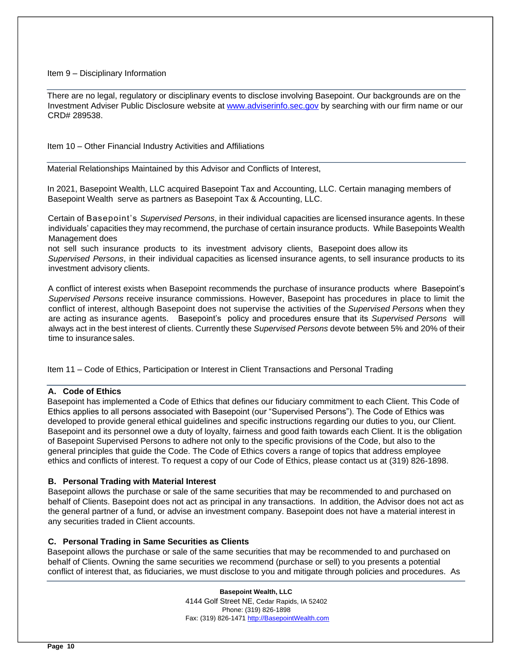#### <span id="page-9-0"></span>Item 9 – Disciplinary Information

There are no legal, regulatory or disciplinary events to disclose involving Basepoint. Our backgrounds are on the Investment Adviser Public Disclosure website at [www.adviserinfo.sec.gov](http://www.adviserinfo.sec.gov/) [b](http://www.adviserinfo.sec.gov/)y searching with our firm name or our CRD# 289538.

<span id="page-9-1"></span>Item 10 – Other Financial Industry Activities and Affiliations

Material Relationships Maintained by this Advisor and Conflicts of Interest,

In 2021, Basepoint Wealth, LLC acquired Basepoint Tax and Accounting, LLC. Certain managing members of Basepoint Wealth serve as partners as Basepoint Tax & Accounting, LLC.

Certain of Basepoint's *Supervised Persons*, in their individual capacities are licensed insurance agents. In these individuals' capacities they may recommend, the purchase of certain insurance products. While Basepoints Wealth Management does

not sell such insurance products to its investment advisory clients, Basepoint does allow its *Supervised Persons*, in their individual capacities as licensed insurance agents, to sell insurance products to its investment advisory clients.

A conflict of interest exists when Basepoint recommends the purchase of insurance products where Basepoint's *Supervised Persons* receive insurance commissions. However, Basepoint has procedures in place to limit the conflict of interest, although Basepoint does not supervise the activities of the *Supervised Persons* when they are acting as insurance agents. Basepoint's policy and procedures ensure that its *Supervised Persons* will always act in the best interest of clients. Currently these *Supervised Persons* devote between 5% and 20% of their time to insurance sales.

<span id="page-9-2"></span>Item 11 – Code of Ethics, Participation or Interest in Client Transactions and Personal Trading

# **A. Code of Ethics**

Basepoint has implemented a Code of Ethics that defines our fiduciary commitment to each Client. This Code of Ethics applies to all persons associated with Basepoint (our "Supervised Persons"). The Code of Ethics was developed to provide general ethical guidelines and specific instructions regarding our duties to you, our Client. Basepoint and its personnel owe a duty of loyalty, fairness and good faith towards each Client. It is the obligation of Basepoint Supervised Persons to adhere not only to the specific provisions of the Code, but also to the general principles that guide the Code. The Code of Ethics covers a range of topics that address employee ethics and conflicts of interest. To request a copy of our Code of Ethics, please contact us at (319) 826-1898.

# **B. Personal Trading with Material Interest**

Basepoint allows the purchase or sale of the same securities that may be recommended to and purchased on behalf of Clients. Basepoint does not act as principal in any transactions. In addition, the Advisor does not act as the general partner of a fund, or advise an investment company. Basepoint does not have a material interest in any securities traded in Client accounts.

# **C. Personal Trading in Same Securities as Clients**

Basepoint allows the purchase or sale of the same securities that may be recommended to and purchased on behalf of Clients. Owning the same securities we recommend (purchase or sell) to you presents a potential conflict of interest that, as fiduciaries, we must disclose to you and mitigate through policies and procedures. As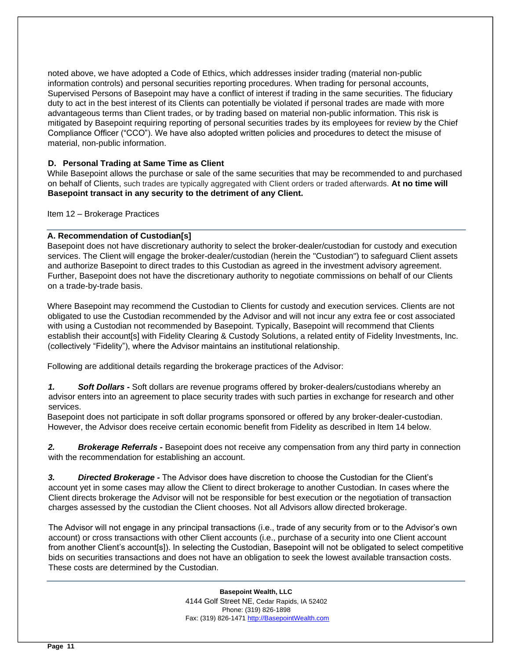noted above, we have adopted a Code of Ethics, which addresses insider trading (material non-public information controls) and personal securities reporting procedures. When trading for personal accounts, Supervised Persons of Basepoint may have a conflict of interest if trading in the same securities. The fiduciary duty to act in the best interest of its Clients can potentially be violated if personal trades are made with more advantageous terms than Client trades, or by trading based on material non-public information. This risk is mitigated by Basepoint requiring reporting of personal securities trades by its employees for review by the Chief Compliance Officer ("CCO"). We have also adopted written policies and procedures to detect the misuse of material, non-public information.

# **D. Personal Trading at Same Time as Client**

While Basepoint allows the purchase or sale of the same securities that may be recommended to and purchased on behalf of Clients, such trades are typically aggregated with Client orders or traded afterwards. **At no time will Basepoint transact in any security to the detriment of any Client.** 

<span id="page-10-0"></span>Item 12 – Brokerage Practices

# **A. Recommendation of Custodian[s]**

Basepoint does not have discretionary authority to select the broker-dealer/custodian for custody and execution services. The Client will engage the broker-dealer/custodian (herein the "Custodian") to safeguard Client assets and authorize Basepoint to direct trades to this Custodian as agreed in the investment advisory agreement. Further, Basepoint does not have the discretionary authority to negotiate commissions on behalf of our Clients on a trade-by-trade basis.

Where Basepoint may recommend the Custodian to Clients for custody and execution services. Clients are not obligated to use the Custodian recommended by the Advisor and will not incur any extra fee or cost associated with using a Custodian not recommended by Basepoint. Typically, Basepoint will recommend that Clients establish their account[s] with Fidelity Clearing & Custody Solutions, a related entity of Fidelity Investments, Inc. (collectively "Fidelity"), where the Advisor maintains an institutional relationship.

Following are additional details regarding the brokerage practices of the Advisor:

*1. Soft Dollars -* Soft dollars are revenue programs offered by broker-dealers/custodians whereby an advisor enters into an agreement to place security trades with such parties in exchange for research and other services.

Basepoint does not participate in soft dollar programs sponsored or offered by any broker-dealer-custodian. However, the Advisor does receive certain economic benefit from Fidelity as described in Item 14 below.

*2. Brokerage Referrals -* Basepoint does not receive any compensation from any third party in connection with the recommendation for establishing an account.

*3. Directed Brokerage -* The Advisor does have discretion to choose the Custodian for the Client's account yet in some cases may allow the Client to direct brokerage to another Custodian. In cases where the Client directs brokerage the Advisor will not be responsible for best execution or the negotiation of transaction charges assessed by the custodian the Client chooses. Not all Advisors allow directed brokerage.

The Advisor will not engage in any principal transactions (i.e., trade of any security from or to the Advisor's own account) or cross transactions with other Client accounts (i.e., purchase of a security into one Client account from another Client's account[s]). In selecting the Custodian, Basepoint will not be obligated to select competitive bids on securities transactions and does not have an obligation to seek the lowest available transaction costs. These costs are determined by the Custodian.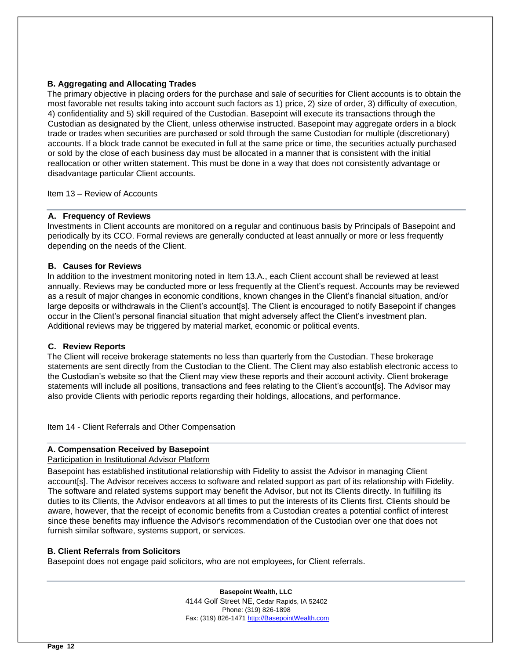# **B. Aggregating and Allocating Trades**

The primary objective in placing orders for the purchase and sale of securities for Client accounts is to obtain the most favorable net results taking into account such factors as 1) price, 2) size of order, 3) difficulty of execution, 4) confidentiality and 5) skill required of the Custodian. Basepoint will execute its transactions through the Custodian as designated by the Client, unless otherwise instructed. Basepoint may aggregate orders in a block trade or trades when securities are purchased or sold through the same Custodian for multiple (discretionary) accounts. If a block trade cannot be executed in full at the same price or time, the securities actually purchased or sold by the close of each business day must be allocated in a manner that is consistent with the initial reallocation or other written statement. This must be done in a way that does not consistently advantage or disadvantage particular Client accounts.

<span id="page-11-0"></span>Item 13 – Review of Accounts

#### **A. Frequency of Reviews**

Investments in Client accounts are monitored on a regular and continuous basis by Principals of Basepoint and periodically by its CCO. Formal reviews are generally conducted at least annually or more or less frequently depending on the needs of the Client.

# **B. Causes for Reviews**

In addition to the investment monitoring noted in Item 13.A., each Client account shall be reviewed at least annually. Reviews may be conducted more or less frequently at the Client's request. Accounts may be reviewed as a result of major changes in economic conditions, known changes in the Client's financial situation, and/or large deposits or withdrawals in the Client's account[s]. The Client is encouraged to notify Basepoint if changes occur in the Client's personal financial situation that might adversely affect the Client's investment plan. Additional reviews may be triggered by material market, economic or political events.

#### **C. Review Reports**

The Client will receive brokerage statements no less than quarterly from the Custodian. These brokerage statements are sent directly from the Custodian to the Client. The Client may also establish electronic access to the Custodian's website so that the Client may view these reports and their account activity. Client brokerage statements will include all positions, transactions and fees relating to the Client's account[s]. The Advisor may also provide Clients with periodic reports regarding their holdings, allocations, and performance.

<span id="page-11-1"></span>Item 14 - Client Referrals and Other Compensation

# **A. Compensation Received by Basepoint**

Participation in Institutional Advisor Platform

Basepoint has established institutional relationship with Fidelity to assist the Advisor in managing Client account[s]. The Advisor receives access to software and related support as part of its relationship with Fidelity. The software and related systems support may benefit the Advisor, but not its Clients directly. In fulfilling its duties to its Clients, the Advisor endeavors at all times to put the interests of its Clients first. Clients should be aware, however, that the receipt of economic benefits from a Custodian creates a potential conflict of interest since these benefits may influence the Advisor's recommendation of the Custodian over one that does not furnish similar software, systems support, or services.

#### **B. Client Referrals from Solicitors**

Basepoint does not engage paid solicitors, who are not employees, for Client referrals.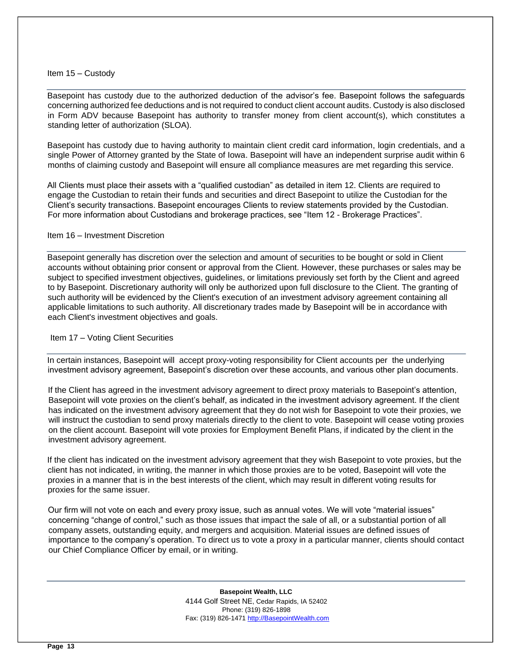#### <span id="page-12-0"></span>Item 15 – Custody

Basepoint has custody due to the authorized deduction of the advisor's fee. Basepoint follows the safeguards concerning authorized fee deductions and is not required to conduct client account audits. Custody is also disclosed in Form ADV because Basepoint has authority to transfer money from client account(s), which constitutes a standing letter of authorization (SLOA).

Basepoint has custody due to having authority to maintain client credit card information, login credentials, and a single Power of Attorney granted by the State of Iowa. Basepoint will have an independent surprise audit within 6 months of claiming custody and Basepoint will ensure all compliance measures are met regarding this service.

All Clients must place their assets with a "qualified custodian" as detailed in item 12. Clients are required to engage the Custodian to retain their funds and securities and direct Basepoint to utilize the Custodian for the Client's security transactions. Basepoint encourages Clients to review statements provided by the Custodian. For more information about Custodians and brokerage practices, see "Item 12 - Brokerage Practices".

#### <span id="page-12-1"></span>Item 16 – Investment Discretion

Basepoint generally has discretion over the selection and amount of securities to be bought or sold in Client accounts without obtaining prior consent or approval from the Client. However, these purchases or sales may be subject to specified investment objectives, guidelines, or limitations previously set forth by the Client and agreed to by Basepoint. Discretionary authority will only be authorized upon full disclosure to the Client. The granting of such authority will be evidenced by the Client's execution of an investment advisory agreement containing all applicable limitations to such authority. All discretionary trades made by Basepoint will be in accordance with each Client's investment objectives and goals.

#### Item 17 – Voting Client Securities

In certain instances, Basepoint will accept proxy-voting responsibility for Client accounts per the underlying investment advisory agreement, Basepoint's discretion over these accounts, and various other plan documents.

If the Client has agreed in the investment advisory agreement to direct proxy materials to Basepoint's attention, Basepoint will vote proxies on the client's behalf, as indicated in the investment advisory agreement. If the client has indicated on the investment advisory agreement that they do not wish for Basepoint to vote their proxies, we will instruct the custodian to send proxy materials directly to the client to vote. Basepoint will cease voting proxies on the client account. Basepoint will vote proxies for Employment Benefit Plans, if indicated by the client in the investment advisory agreement.

If the client has indicated on the investment advisory agreement that they wish Basepoint to vote proxies, but the client has not indicated, in writing, the manner in which those proxies are to be voted, Basepoint will vote the proxies in a manner that is in the best interests of the client, which may result in different voting results for proxies for the same issuer.

Our firm will not vote on each and every proxy issue, such as annual votes. We will vote "material issues" concerning "change of control," such as those issues that impact the sale of all, or a substantial portion of all company assets, outstanding equity, and mergers and acquisition. Material issues are defined issues of importance to the company's operation. To direct us to vote a proxy in a particular manner, clients should contact our Chief Compliance Officer by email, or in writing.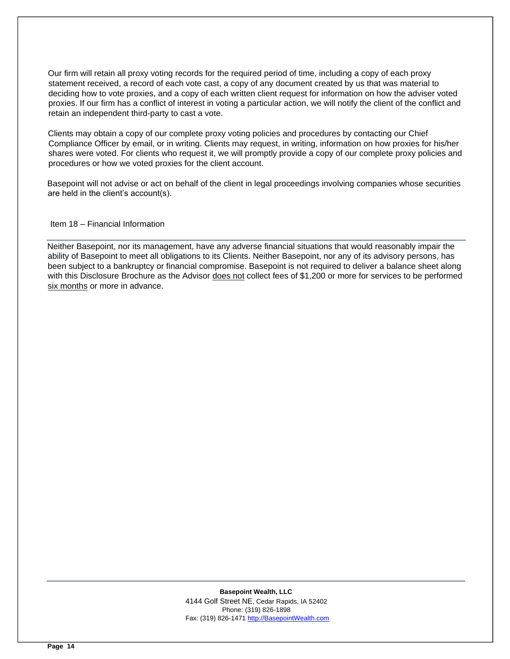Our firm will retain all proxy voting records for the required period of time, including a copy of each proxy statement received, a record of each vote cast, a copy of any document created by us that was material to deciding how to vote proxies, and a copy of each written client request for information on how the adviser voted proxies. If our firm has a conflict of interest in voting a particular action, we will notify the client of the conflict and retain an independent third-party to cast a vote.

Clients may obtain a copy of our complete proxy voting policies and procedures by contacting our Chief Compliance Officer by email, or in writing. Clients may request, in writing, information on how proxies for his/her shares were voted. For clients who request it, we will promptly provide a copy of our complete proxy policies and procedures or how we voted proxies for the client account.

Basepoint will not advise or act on behalf of the client in legal proceedings involving companies whose securities are held in the client's account(s).

Item 18 – Financial Information

Neither Basepoint, nor its management, have any adverse financial situations that would reasonably impair the ability of Basepoint to meet all obligations to its Clients. Neither Basepoint, nor any of its advisory persons, has been subject to a bankruptcy or financial compromise. Basepoint is not required to deliver a balance sheet along with this Disclosure Brochure as the Advisor does not collect fees of \$1,200 or more for services to be performed six months or more in advance.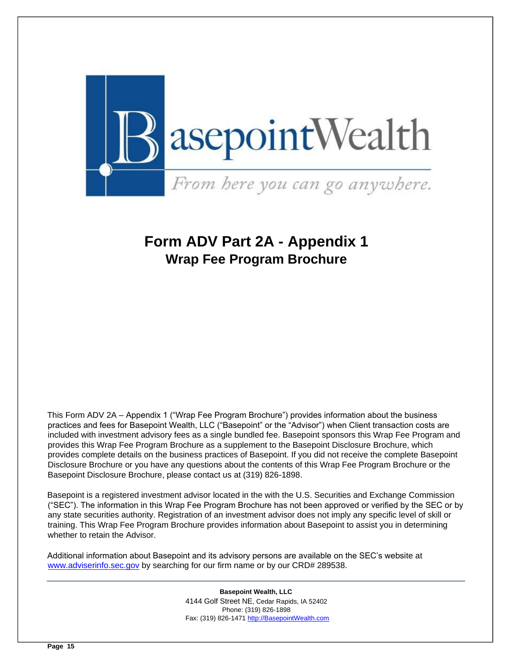

# <span id="page-14-0"></span>**Form ADV Part 2A - Appendix 1 Wrap Fee Program Brochure**

This Form ADV 2A – Appendix 1 ("Wrap Fee Program Brochure") provides information about the business practices and fees for Basepoint Wealth, LLC ("Basepoint" or the "Advisor") when Client transaction costs are included with investment advisory fees as a single bundled fee. Basepoint sponsors this Wrap Fee Program and provides this Wrap Fee Program Brochure as a supplement to the Basepoint Disclosure Brochure, which provides complete details on the business practices of Basepoint. If you did not receive the complete Basepoint Disclosure Brochure or you have any questions about the contents of this Wrap Fee Program Brochure or the Basepoint Disclosure Brochure, please contact us at (319) 826-1898.

Basepoint is a registered investment advisor located in the with the U.S. Securities and Exchange Commission ("SEC"). The information in this Wrap Fee Program Brochure has not been approved or verified by the SEC or by any state securities authority. Registration of an investment advisor does not imply any specific level of skill or training. This Wrap Fee Program Brochure provides information about Basepoint to assist you in determining whether to retain the Advisor.

Additional information about Basepoint and its advisory persons are available on the SEC's website at [www.adviserinfo.sec.gov](http://www.adviserinfo.sec.gov/) by searching for our firm name or by our CRD# 289538.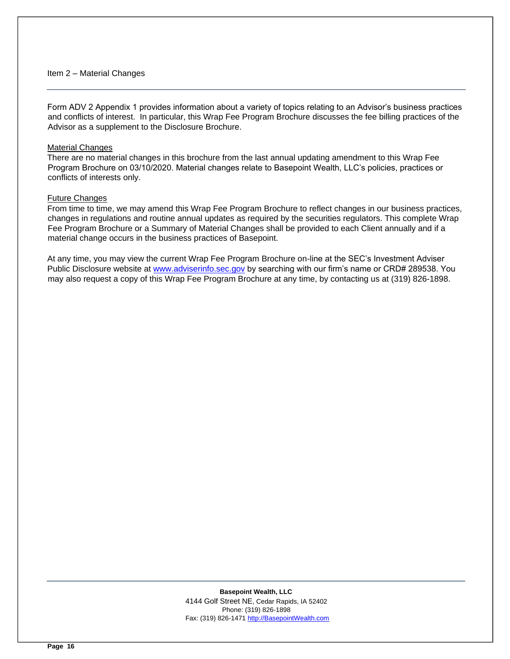#### <span id="page-15-0"></span>Item 2 – Material Changes

Form ADV 2 Appendix 1 provides information about a variety of topics relating to an Advisor's business practices and conflicts of interest. In particular, this Wrap Fee Program Brochure discusses the fee billing practices of the Advisor as a supplement to the Disclosure Brochure.

#### Material Changes

There are no material changes in this brochure from the last annual updating amendment to this Wrap Fee Program Brochure on 03/10/2020. Material changes relate to Basepoint Wealth, LLC's policies, practices or conflicts of interests only.

#### Future Changes

From time to time, we may amend this Wrap Fee Program Brochure to reflect changes in our business practices, changes in regulations and routine annual updates as required by the securities regulators. This complete Wrap Fee Program Brochure or a Summary of Material Changes shall be provided to each Client annually and if a material change occurs in the business practices of Basepoint.

At any time, you may view the current Wrap Fee Program Brochure on-line at the SEC's Investment Adviser Public Disclosure website at [www.adviserinfo.sec.gov](http://www.adviserinfo.sec.gov/) by searching with our firm's name or CRD# 289538. You may also request a copy of this Wrap Fee Program Brochure at any time, by contacting us at (319) 826-1898.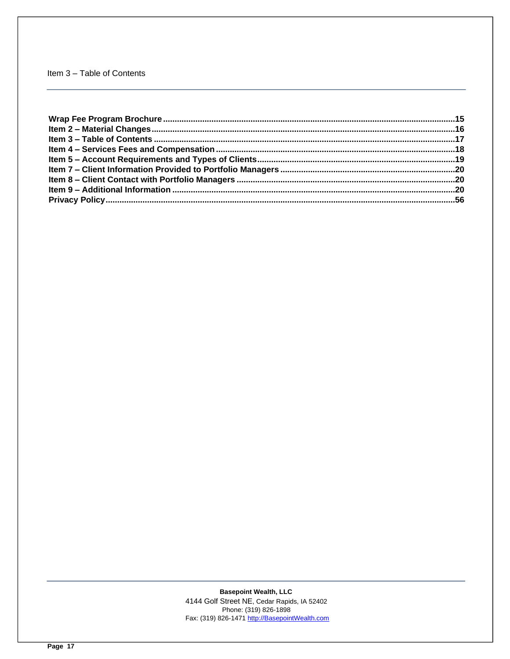# <span id="page-16-0"></span>Item 3 - Table of Contents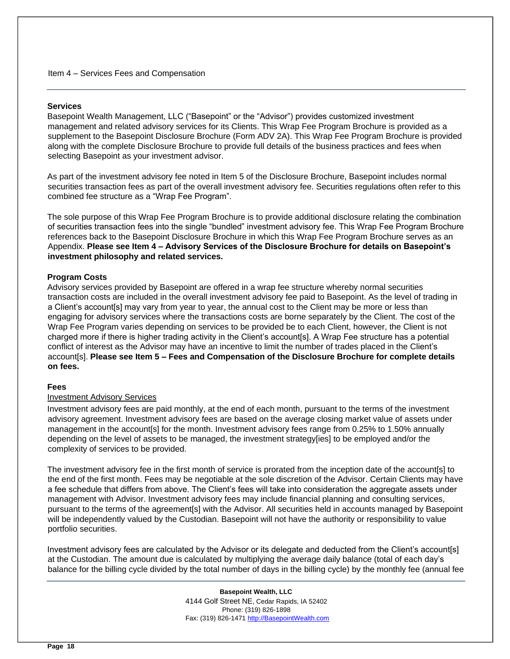#### <span id="page-17-0"></span>**Services**

Basepoint Wealth Management, LLC ("Basepoint" or the "Advisor") provides customized investment management and related advisory services for its Clients. This Wrap Fee Program Brochure is provided as a supplement to the Basepoint Disclosure Brochure (Form ADV 2A). This Wrap Fee Program Brochure is provided along with the complete Disclosure Brochure to provide full details of the business practices and fees when selecting Basepoint as your investment advisor.

As part of the investment advisory fee noted in Item 5 of the Disclosure Brochure, Basepoint includes normal securities transaction fees as part of the overall investment advisory fee. Securities regulations often refer to this combined fee structure as a "Wrap Fee Program".

The sole purpose of this Wrap Fee Program Brochure is to provide additional disclosure relating the combination of securities transaction fees into the single "bundled" investment advisory fee. This Wrap Fee Program Brochure references back to the Basepoint Disclosure Brochure in which this Wrap Fee Program Brochure serves as an Appendix. **Please see Item 4 – Advisory Services of the Disclosure Brochure for details on Basepoint's investment philosophy and related services.** 

#### **Program Costs**

Advisory services provided by Basepoint are offered in a wrap fee structure whereby normal securities transaction costs are included in the overall investment advisory fee paid to Basepoint. As the level of trading in a Client's account[s] may vary from year to year, the annual cost to the Client may be more or less than engaging for advisory services where the transactions costs are borne separately by the Client. The cost of the Wrap Fee Program varies depending on services to be provided be to each Client, however, the Client is not charged more if there is higher trading activity in the Client's account[s]. A Wrap Fee structure has a potential conflict of interest as the Advisor may have an incentive to limit the number of trades placed in the Client's account[s]. **Please see Item 5 – Fees and Compensation of the Disclosure Brochure for complete details on fees.**

#### **Fees**

#### Investment Advisory Services

Investment advisory fees are paid monthly, at the end of each month, pursuant to the terms of the investment advisory agreement. Investment advisory fees are based on the average closing market value of assets under management in the account[s] for the month. Investment advisory fees range from 0.25% to 1.50% annually depending on the level of assets to be managed, the investment strategy[ies] to be employed and/or the complexity of services to be provided.

The investment advisory fee in the first month of service is prorated from the inception date of the account[s] to the end of the first month. Fees may be negotiable at the sole discretion of the Advisor. Certain Clients may have a fee schedule that differs from above. The Client's fees will take into consideration the aggregate assets under management with Advisor. Investment advisory fees may include financial planning and consulting services, pursuant to the terms of the agreement[s] with the Advisor. All securities held in accounts managed by Basepoint will be independently valued by the Custodian. Basepoint will not have the authority or responsibility to value portfolio securities.

Investment advisory fees are calculated by the Advisor or its delegate and deducted from the Client's account[s] at the Custodian. The amount due is calculated by multiplying the average daily balance (total of each day's balance for the billing cycle divided by the total number of days in the billing cycle) by the monthly fee (annual fee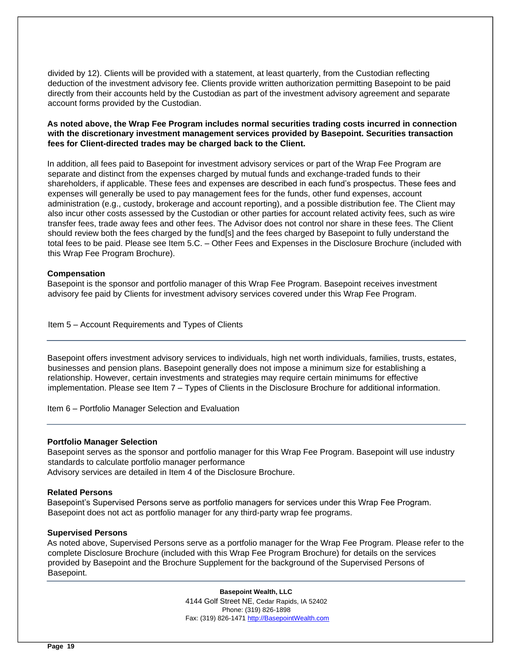divided by 12). Clients will be provided with a statement, at least quarterly, from the Custodian reflecting deduction of the investment advisory fee. Clients provide written authorization permitting Basepoint to be paid directly from their accounts held by the Custodian as part of the investment advisory agreement and separate account forms provided by the Custodian.

# **As noted above, the Wrap Fee Program includes normal securities trading costs incurred in connection with the discretionary investment management services provided by Basepoint. Securities transaction fees for Client-directed trades may be charged back to the Client.**

In addition, all fees paid to Basepoint for investment advisory services or part of the Wrap Fee Program are separate and distinct from the expenses charged by mutual funds and exchange-traded funds to their shareholders, if applicable. These fees and expenses are described in each fund's prospectus. These fees and expenses will generally be used to pay management fees for the funds, other fund expenses, account administration (e.g., custody, brokerage and account reporting), and a possible distribution fee. The Client may also incur other costs assessed by the Custodian or other parties for account related activity fees, such as wire transfer fees, trade away fees and other fees. The Advisor does not control nor share in these fees. The Client should review both the fees charged by the fund[s] and the fees charged by Basepoint to fully understand the total fees to be paid. Please see Item 5.C. – Other Fees and Expenses in the Disclosure Brochure (included with this Wrap Fee Program Brochure).

# **Compensation**

Basepoint is the sponsor and portfolio manager of this Wrap Fee Program. Basepoint receives investment advisory fee paid by Clients for investment advisory services covered under this Wrap Fee Program.

<span id="page-18-0"></span>Item 5 – Account Requirements and Types of Clients

Basepoint offers investment advisory services to individuals, high net worth individuals, families, trusts, estates, businesses and pension plans. Basepoint generally does not impose a minimum size for establishing a relationship. However, certain investments and strategies may require certain minimums for effective implementation. Please see Item 7 – Types of Clients in the Disclosure Brochure for additional information.

Item 6 – Portfolio Manager Selection and Evaluation

#### **Portfolio Manager Selection**

Basepoint serves as the sponsor and portfolio manager for this Wrap Fee Program. Basepoint will use industry standards to calculate portfolio manager performance Advisory services are detailed in Item 4 of the Disclosure Brochure.

#### **Related Persons**

Basepoint's Supervised Persons serve as portfolio managers for services under this Wrap Fee Program. Basepoint does not act as portfolio manager for any third-party wrap fee programs.

#### **Supervised Persons**

As noted above, Supervised Persons serve as a portfolio manager for the Wrap Fee Program. Please refer to the complete Disclosure Brochure (included with this Wrap Fee Program Brochure) for details on the services provided by Basepoint and the Brochure Supplement for the background of the Supervised Persons of Basepoint.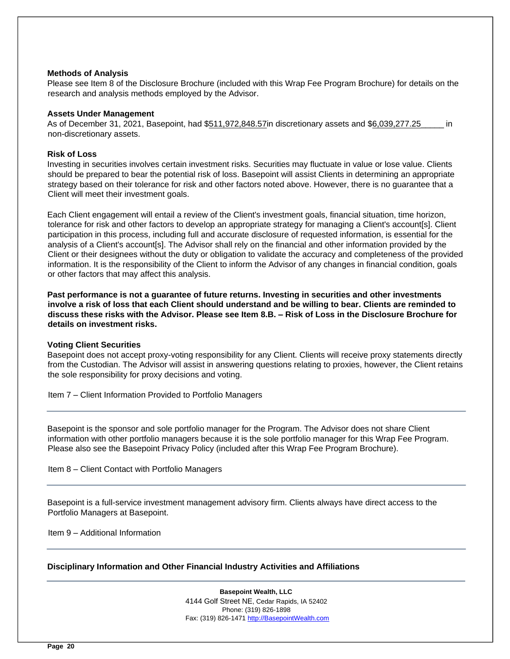#### **Methods of Analysis**

Please see Item 8 of the Disclosure Brochure (included with this Wrap Fee Program Brochure) for details on the research and analysis methods employed by the Advisor.

#### **Assets Under Management**

As of December 31, 2021, Basepoint, had \$511,972,848.57in discretionary assets and \$6,039,277.25\_\_\_\_\_ in non-discretionary assets.

#### **Risk of Loss**

Investing in securities involves certain investment risks. Securities may fluctuate in value or lose value. Clients should be prepared to bear the potential risk of loss. Basepoint will assist Clients in determining an appropriate strategy based on their tolerance for risk and other factors noted above. However, there is no guarantee that a Client will meet their investment goals.

Each Client engagement will entail a review of the Client's investment goals, financial situation, time horizon, tolerance for risk and other factors to develop an appropriate strategy for managing a Client's account[s]. Client participation in this process, including full and accurate disclosure of requested information, is essential for the analysis of a Client's account[s]. The Advisor shall rely on the financial and other information provided by the Client or their designees without the duty or obligation to validate the accuracy and completeness of the provided information. It is the responsibility of the Client to inform the Advisor of any changes in financial condition, goals or other factors that may affect this analysis.

**Past performance is not a guarantee of future returns. Investing in securities and other investments involve a risk of loss that each Client should understand and be willing to bear. Clients are reminded to discuss these risks with the Advisor. Please see Item 8.B. – Risk of Loss in the Disclosure Brochure for details on investment risks.**

#### **Voting Client Securities**

Basepoint does not accept proxy-voting responsibility for any Client. Clients will receive proxy statements directly from the Custodian. The Advisor will assist in answering questions relating to proxies, however, the Client retains the sole responsibility for proxy decisions and voting.

<span id="page-19-0"></span>Item 7 – Client Information Provided to Portfolio Managers

Basepoint is the sponsor and sole portfolio manager for the Program. The Advisor does not share Client information with other portfolio managers because it is the sole portfolio manager for this Wrap Fee Program. Please also see the Basepoint Privacy Policy (included after this Wrap Fee Program Brochure).

<span id="page-19-1"></span>Item 8 – Client Contact with Portfolio Managers

Basepoint is a full-service investment management advisory firm. Clients always have direct access to the Portfolio Managers at Basepoint.

<span id="page-19-2"></span>Item 9 – Additional Information

#### **Disciplinary Information and Other Financial Industry Activities and Affiliations**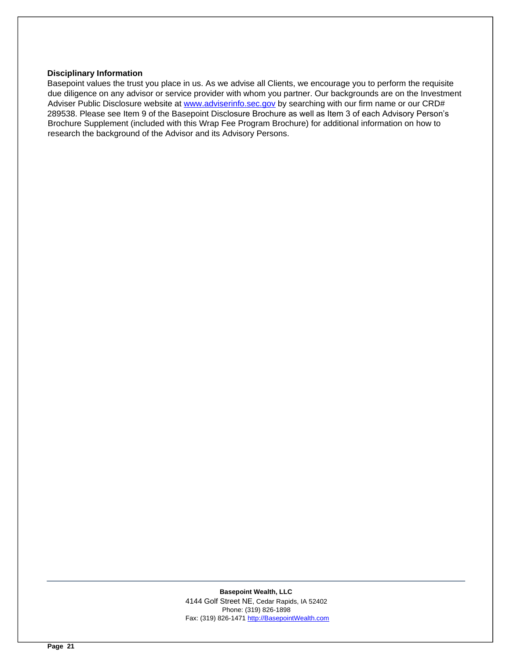#### **Disciplinary Information**

Basepoint values the trust you place in us. As we advise all Clients, we encourage you to perform the requisite due diligence on any advisor or service provider with whom you partner. Our backgrounds are on the Investment Adviser Public Disclosure website a[t www.adviserinfo.sec.gov](http://www.adviserinfo.sec.gov/) [b](http://www.adviserinfo.sec.gov/)y searching with our firm name or our CRD# 289538. Please see Item 9 of the Basepoint Disclosure Brochure as well as Item 3 of each Advisory Person's Brochure Supplement (included with this Wrap Fee Program Brochure) for additional information on how to research the background of the Advisor and its Advisory Persons.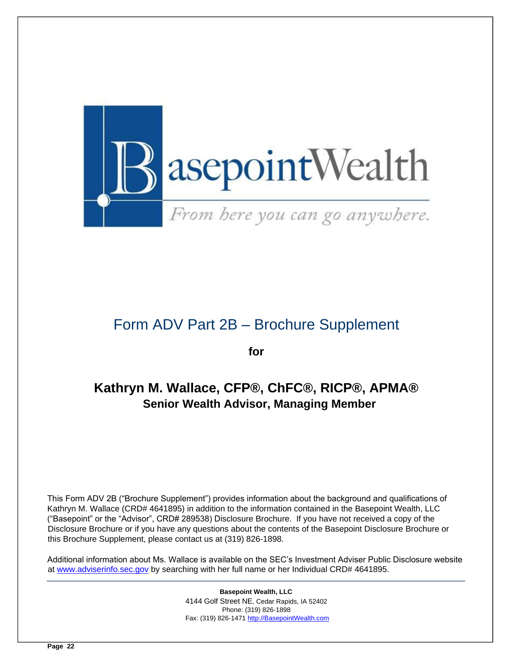

# Form ADV Part 2B – Brochure Supplement

**for** 

# <span id="page-21-0"></span>**Kathryn M. Wallace, CFP®, ChFC®, RICP®, APMA® Senior Wealth Advisor, Managing Member**

This Form ADV 2B ("Brochure Supplement") provides information about the background and qualifications of Kathryn M. Wallace (CRD# 4641895) in addition to the information contained in the Basepoint Wealth, LLC ("Basepoint" or the "Advisor", CRD# 289538) Disclosure Brochure. If you have not received a copy of the Disclosure Brochure or if you have any questions about the contents of the Basepoint Disclosure Brochure or this Brochure Supplement, please contact us at (319) 826-1898.

Additional information about Ms. Wallace is available on the SEC's Investment Adviser Public Disclosure website at [www.adviserinfo.sec.gov](http://www.adviserinfo.sec.gov/) [b](http://www.adviserinfo.sec.gov/)y searching with her full name or her Individual CRD# 4641895.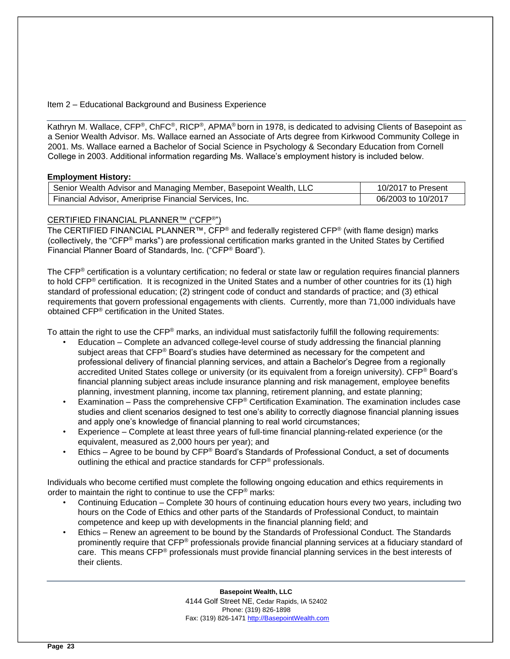Item 2 – Educational Background and Business Experience

Kathryn M. Wallace, CFP®, ChFC®, RICP®, APMA® born in 1978, is dedicated to advising Clients of Basepoint as a Senior Wealth Advisor. Ms. Wallace earned an Associate of Arts degree from Kirkwood Community College in 2001. Ms. Wallace earned a Bachelor of Social Science in Psychology & Secondary Education from Cornell College in 2003. Additional information regarding Ms. Wallace's employment history is included below.

# **Employment History:**

| Senior Wealth Advisor and Managing Member, Basepoint Wealth, LLC | 10/2017 to Present |
|------------------------------------------------------------------|--------------------|
| Financial Advisor, Ameriprise Financial Services, Inc.           | 06/2003 to 10/2017 |

# CERTIFIED FINANCIAL PLANNER™ ("CFP®")

The CERTIFIED FINANCIAL PLANNER™, CFP<sup>®</sup> and federally registered CFP<sup>®</sup> (with flame design) marks (collectively, the "CFP® marks") are professional certification marks granted in the United States by Certified Financial Planner Board of Standards, Inc. ("CFP® Board").

The CFP<sup>®</sup> certification is a voluntary certification; no federal or state law or regulation reguires financial planners to hold CFP® certification. It is recognized in the United States and a number of other countries for its (1) high standard of professional education; (2) stringent code of conduct and standards of practice; and (3) ethical requirements that govern professional engagements with clients. Currently, more than 71,000 individuals have obtained CFP® certification in the United States.

To attain the right to use the CFP<sup>®</sup> marks, an individual must satisfactorily fulfill the following requirements:

- Education Complete an advanced college-level course of study addressing the financial planning subject areas that CFP® Board's studies have determined as necessary for the competent and professional delivery of financial planning services, and attain a Bachelor's Degree from a regionally accredited United States college or university (or its equivalent from a foreign university). CFP® Board's financial planning subject areas include insurance planning and risk management, employee benefits planning, investment planning, income tax planning, retirement planning, and estate planning;
- Examination Pass the comprehensive CFP® Certification Examination. The examination includes case studies and client scenarios designed to test one's ability to correctly diagnose financial planning issues and apply one's knowledge of financial planning to real world circumstances;
- Experience Complete at least three years of full-time financial planning-related experience (or the equivalent, measured as 2,000 hours per year); and
- Ethics Agree to be bound by CFP® Board's Standards of Professional Conduct, a set of documents outlining the ethical and practice standards for CFP<sup>®</sup> professionals.

Individuals who become certified must complete the following ongoing education and ethics requirements in order to maintain the right to continue to use the CFP® marks:

- Continuing Education Complete 30 hours of continuing education hours every two years, including two hours on the Code of Ethics and other parts of the Standards of Professional Conduct, to maintain competence and keep up with developments in the financial planning field; and
- Ethics Renew an agreement to be bound by the Standards of Professional Conduct. The Standards prominently require that CFP® professionals provide financial planning services at a fiduciary standard of care. This means CFP® professionals must provide financial planning services in the best interests of their clients.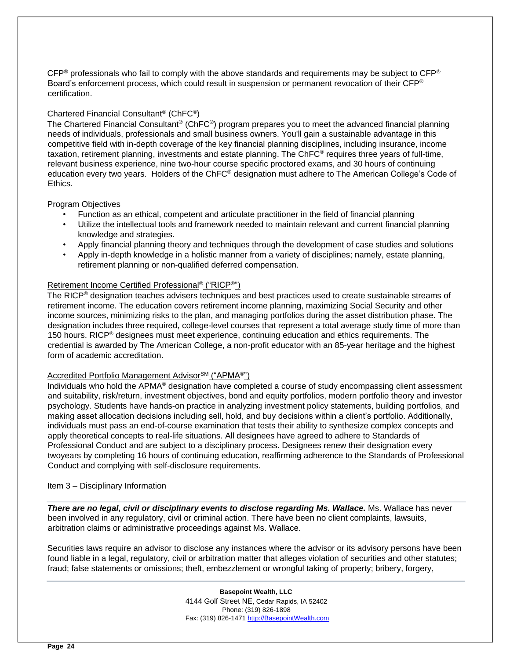$CFP<sup>®</sup>$  professionals who fail to comply with the above standards and requirements may be subject to  $CFP<sup>®</sup>$ Board's enforcement process, which could result in suspension or permanent revocation of their CFP® certification.

# Chartered Financial Consultant® (ChFC®)

The Chartered Financial Consultant® (ChFC®) program prepares you to meet the advanced financial planning needs of individuals, professionals and small business owners. You'll gain a sustainable advantage in this competitive field with in-depth coverage of the key financial planning disciplines, including insurance, income taxation, retirement planning, investments and estate planning. The ChFC® requires three years of full-time, relevant business experience, nine two-hour course specific proctored exams, and 30 hours of continuing education every two years. Holders of the ChFC® designation must adhere to The American College's Code of Ethics.

# Program Objectives

- Function as an ethical, competent and articulate practitioner in the field of financial planning
- Utilize the intellectual tools and framework needed to maintain relevant and current financial planning knowledge and strategies.
- Apply financial planning theory and techniques through the development of case studies and solutions
- Apply in-depth knowledge in a holistic manner from a variety of disciplines; namely, estate planning, retirement planning or non-qualified deferred compensation.

# Retirement Income Certified Professional® ("RICP®")

The RICP® designation teaches advisers techniques and best practices used to create sustainable streams of retirement income. The education covers retirement income planning, maximizing Social Security and other income sources, minimizing risks to the plan, and managing portfolios during the asset distribution phase. The designation includes three required, college-level courses that represent a total average study time of more than 150 hours. RICP<sup>®</sup> designees must meet experience, continuing education and ethics requirements. The credential is awarded by The American College, a non-profit educator with an 85-year heritage and the highest form of academic accreditation.

#### Accredited Portfolio Management Advisor<sup>SM</sup> ("APMA<sup>®</sup>")

Individuals who hold the APMA® designation have completed a course of study encompassing client assessment and suitability, risk/return, investment objectives, bond and equity portfolios, modern portfolio theory and investor psychology. Students have hands-on practice in analyzing investment policy statements, building portfolios, and making asset allocation decisions including sell, hold, and buy decisions within a client's portfolio. Additionally, individuals must pass an end-of-course examination that tests their ability to synthesize complex concepts and apply theoretical concepts to real-life situations. All designees have agreed to adhere to Standards of Professional Conduct and are subject to a disciplinary process. Designees renew their designation every twoyears by completing 16 hours of continuing education, reaffirming adherence to the Standards of Professional Conduct and complying with self-disclosure requirements.

#### Item 3 – Disciplinary Information

*There are no legal, civil or disciplinary events to disclose regarding Ms. Wallace.* Ms. Wallace has never been involved in any regulatory, civil or criminal action. There have been no client complaints, lawsuits, arbitration claims or administrative proceedings against Ms. Wallace.

Securities laws require an advisor to disclose any instances where the advisor or its advisory persons have been found liable in a legal, regulatory, civil or arbitration matter that alleges violation of securities and other statutes; fraud; false statements or omissions; theft, embezzlement or wrongful taking of property; bribery, forgery,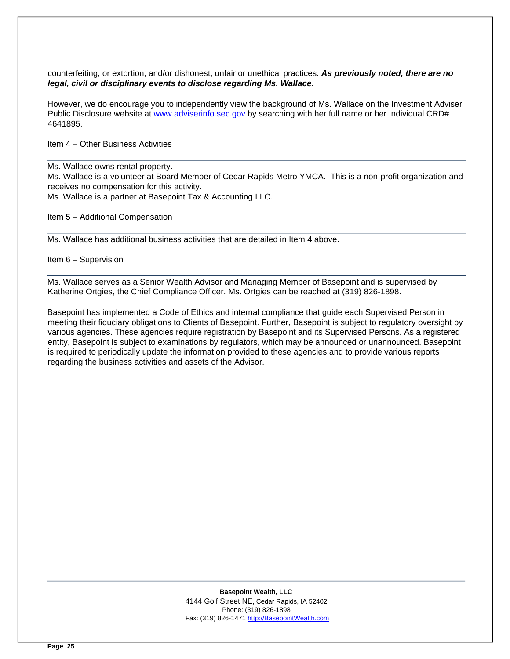counterfeiting, or extortion; and/or dishonest, unfair or unethical practices. *As previously noted, there are no legal, civil or disciplinary events to disclose regarding Ms. Wallace.* 

However, we do encourage you to independently view the background of Ms. Wallace on the Investment Adviser Public Disclosure website at [www.adviserinfo.sec.gov](http://www.adviserinfo.sec.gov/) by searching with her full name or her Individual CRD# 4641895.

Item 4 – Other Business Activities

Ms. Wallace owns rental property.

Ms. Wallace is a volunteer at Board Member of Cedar Rapids Metro YMCA. This is a non-profit organization and receives no compensation for this activity.

Ms. Wallace is a partner at Basepoint Tax & Accounting LLC.

Item 5 – Additional Compensation

Ms. Wallace has additional business activities that are detailed in Item 4 above.

Item 6 – Supervision

Ms. Wallace serves as a Senior Wealth Advisor and Managing Member of Basepoint and is supervised by Katherine Ortgies, the Chief Compliance Officer. Ms. Ortgies can be reached at (319) 826-1898.

Basepoint has implemented a Code of Ethics and internal compliance that guide each Supervised Person in meeting their fiduciary obligations to Clients of Basepoint. Further, Basepoint is subject to regulatory oversight by various agencies. These agencies require registration by Basepoint and its Supervised Persons. As a registered entity, Basepoint is subject to examinations by regulators, which may be announced or unannounced. Basepoint is required to periodically update the information provided to these agencies and to provide various reports regarding the business activities and assets of the Advisor.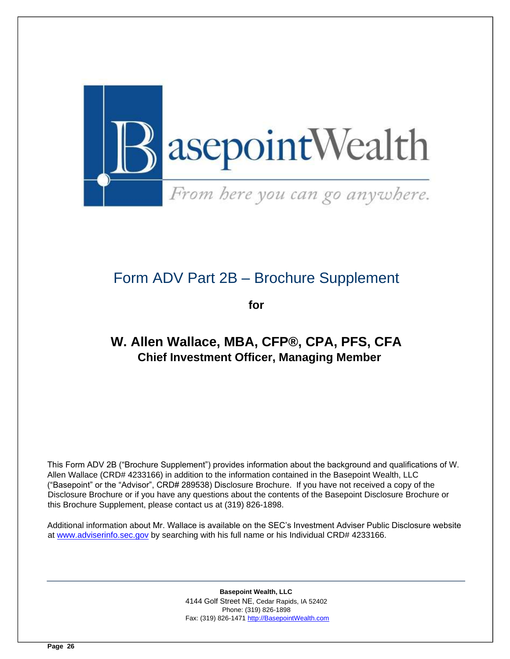

# Form ADV Part 2B – Brochure Supplement

**for** 

# <span id="page-25-0"></span>**W. Allen Wallace, MBA, CFP®, CPA, PFS, CFA Chief Investment Officer, Managing Member**

This Form ADV 2B ("Brochure Supplement") provides information about the background and qualifications of W. Allen Wallace (CRD# 4233166) in addition to the information contained in the Basepoint Wealth, LLC ("Basepoint" or the "Advisor", CRD# 289538) Disclosure Brochure. If you have not received a copy of the Disclosure Brochure or if you have any questions about the contents of the Basepoint Disclosure Brochure or this Brochure Supplement, please contact us at (319) 826-1898.

Additional information about Mr. Wallace is available on the SEC's Investment Adviser Public Disclosure website at [www.adviserinfo.sec.gov](http://www.adviserinfo.sec.gov/) [b](http://www.adviserinfo.sec.gov/)y searching with his full name or his Individual CRD# 4233166.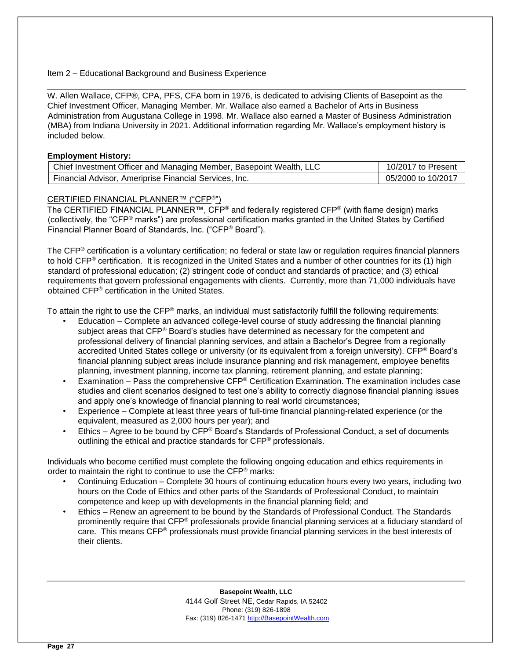# Item 2 – Educational Background and Business Experience

W. Allen Wallace, CFP®, CPA, PFS, CFA born in 1976, is dedicated to advising Clients of Basepoint as the Chief Investment Officer, Managing Member. Mr. Wallace also earned a Bachelor of Arts in Business Administration from Augustana College in 1998. Mr. Wallace also earned a Master of Business Administration (MBA) from Indiana University in 2021. Additional information regarding Mr. Wallace's employment history is included below.

# **Employment History:**

| Chief Investment Officer and Managing Member, Basepoint Wealth, LLC | 10/2017 to Present |
|---------------------------------------------------------------------|--------------------|
| Financial Advisor. Ameriprise Financial Services. Inc.              | 05/2000 to 10/2017 |

# CERTIFIED FINANCIAL PLANNER™ ("CFP®")

The CERTIFIED FINANCIAL PLANNER<sup>™</sup>, CFP<sup>®</sup> and federally registered CFP<sup>®</sup> (with flame design) marks (collectively, the "CFP® marks") are professional certification marks granted in the United States by Certified Financial Planner Board of Standards, Inc. ("CFP® Board").

The CFP<sup>®</sup> certification is a voluntary certification; no federal or state law or regulation requires financial planners to hold CFP® certification. It is recognized in the United States and a number of other countries for its (1) high standard of professional education; (2) stringent code of conduct and standards of practice; and (3) ethical requirements that govern professional engagements with clients. Currently, more than 71,000 individuals have obtained CFP® certification in the United States.

To attain the right to use the CFP<sup>®</sup> marks, an individual must satisfactorily fulfill the following requirements:

- Education Complete an advanced college-level course of study addressing the financial planning subject areas that CFP® Board's studies have determined as necessary for the competent and professional delivery of financial planning services, and attain a Bachelor's Degree from a regionally accredited United States college or university (or its equivalent from a foreign university). CFP<sup>®</sup> Board's financial planning subject areas include insurance planning and risk management, employee benefits planning, investment planning, income tax planning, retirement planning, and estate planning;
- Examination Pass the comprehensive CFP<sup>®</sup> Certification Examination. The examination includes case studies and client scenarios designed to test one's ability to correctly diagnose financial planning issues and apply one's knowledge of financial planning to real world circumstances;
- Experience Complete at least three years of full-time financial planning-related experience (or the equivalent, measured as 2,000 hours per year); and
- Ethics Agree to be bound by CFP® Board's Standards of Professional Conduct, a set of documents outlining the ethical and practice standards for CFP® professionals.

Individuals who become certified must complete the following ongoing education and ethics requirements in order to maintain the right to continue to use the CFP<sup>®</sup> marks:

- Continuing Education Complete 30 hours of continuing education hours every two years, including two hours on the Code of Ethics and other parts of the Standards of Professional Conduct, to maintain competence and keep up with developments in the financial planning field; and
- Ethics Renew an agreement to be bound by the Standards of Professional Conduct. The Standards prominently require that CFP® professionals provide financial planning services at a fiduciary standard of care. This means CFP® professionals must provide financial planning services in the best interests of their clients.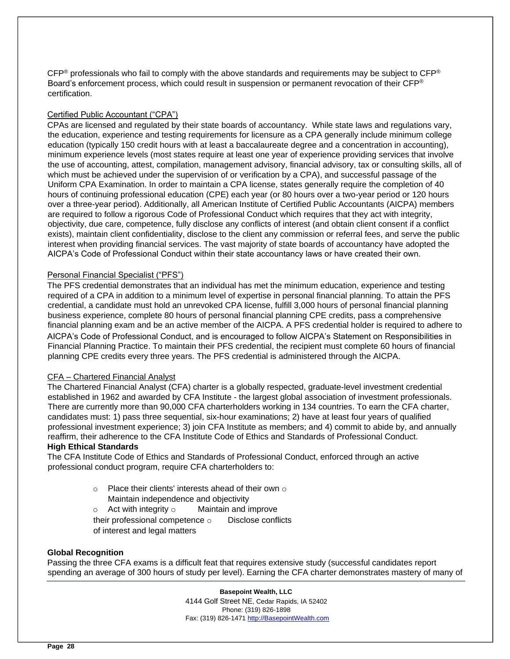$CFP<sup>®</sup>$  professionals who fail to comply with the above standards and requirements may be subject to  $CFP<sup>®</sup>$ Board's enforcement process, which could result in suspension or permanent revocation of their CFP® certification.

# Certified Public Accountant ("CPA")

CPAs are licensed and regulated by their state boards of accountancy. While state laws and regulations vary, the education, experience and testing requirements for licensure as a CPA generally include minimum college education (typically 150 credit hours with at least a baccalaureate degree and a concentration in accounting), minimum experience levels (most states require at least one year of experience providing services that involve the use of accounting, attest, compilation, management advisory, financial advisory, tax or consulting skills, all of which must be achieved under the supervision of or verification by a CPA), and successful passage of the Uniform CPA Examination. In order to maintain a CPA license, states generally require the completion of 40 hours of continuing professional education (CPE) each year (or 80 hours over a two-year period or 120 hours over a three-year period). Additionally, all American Institute of Certified Public Accountants (AICPA) members are required to follow a rigorous Code of Professional Conduct which requires that they act with integrity, objectivity, due care, competence, fully disclose any conflicts of interest (and obtain client consent if a conflict exists), maintain client confidentiality, disclose to the client any commission or referral fees, and serve the public interest when providing financial services. The vast majority of state boards of accountancy have adopted the AICPA's Code of Professional Conduct within their state accountancy laws or have created their own.

# Personal Financial Specialist ("PFS")

The PFS credential demonstrates that an individual has met the minimum education, experience and testing required of a CPA in addition to a minimum level of expertise in personal financial planning. To attain the PFS credential, a candidate must hold an unrevoked CPA license, fulfill 3,000 hours of personal financial planning business experience, complete 80 hours of personal financial planning CPE credits, pass a comprehensive financial planning exam and be an active member of the AICPA. A PFS credential holder is required to adhere to AICPA's Code of Professional Conduct, and is encouraged to follow AICPA's Statement on Responsibilities in Financial Planning Practice. To maintain their PFS credential, the recipient must complete 60 hours of financial planning CPE credits every three years. The PFS credential is administered through the AICPA.

#### CFA – Chartered Financial Analyst

The Chartered Financial Analyst (CFA) charter is a globally respected, graduate-level investment credential established in 1962 and awarded by CFA Institute - the largest global association of investment professionals. There are currently more than 90,000 CFA charterholders working in 134 countries. To earn the CFA charter, candidates must: 1) pass three sequential, six-hour examinations; 2) have at least four years of qualified professional investment experience; 3) join CFA Institute as members; and 4) commit to abide by, and annually reaffirm, their adherence to the CFA Institute Code of Ethics and Standards of Professional Conduct.

# **High Ethical Standards**

The CFA Institute Code of Ethics and Standards of Professional Conduct, enforced through an active professional conduct program, require CFA charterholders to:

- $\circ$  Place their clients' interests ahead of their own  $\circ$ 
	- Maintain independence and objectivity
- $\circ$  Act with integrity  $\circ$  Maintain and improve

their professional competence  $\circ$  Disclose conflicts of interest and legal matters

#### **Global Recognition**

Passing the three CFA exams is a difficult feat that requires extensive study (successful candidates report spending an average of 300 hours of study per level). Earning the CFA charter demonstrates mastery of many of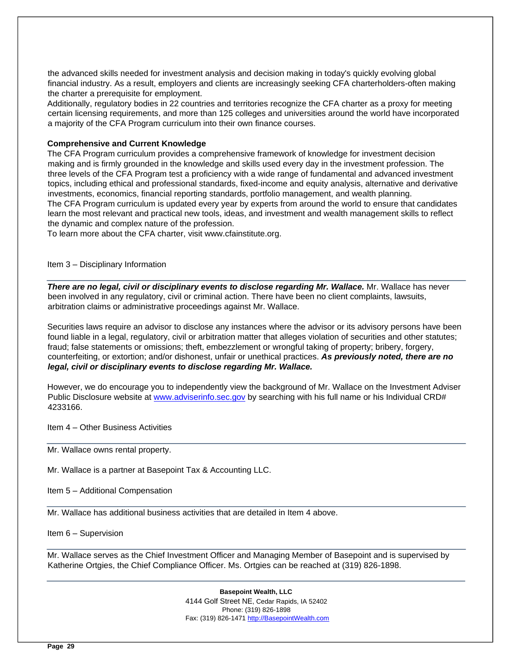the advanced skills needed for investment analysis and decision making in today's quickly evolving global financial industry. As a result, employers and clients are increasingly seeking CFA charterholders-often making the charter a prerequisite for employment.

Additionally, regulatory bodies in 22 countries and territories recognize the CFA charter as a proxy for meeting certain licensing requirements, and more than 125 colleges and universities around the world have incorporated a majority of the CFA Program curriculum into their own finance courses.

# **Comprehensive and Current Knowledge**

The CFA Program curriculum provides a comprehensive framework of knowledge for investment decision making and is firmly grounded in the knowledge and skills used every day in the investment profession. The three levels of the CFA Program test a proficiency with a wide range of fundamental and advanced investment topics, including ethical and professional standards, fixed-income and equity analysis, alternative and derivative investments, economics, financial reporting standards, portfolio management, and wealth planning. The CFA Program curriculum is updated every year by experts from around the world to ensure that candidates learn the most relevant and practical new tools, ideas, and investment and wealth management skills to reflect the dynamic and complex nature of the profession.

To learn more about the CFA charter, visit www.cfainstitute.org.

Item 3 – Disciplinary Information

*There are no legal, civil or disciplinary events to disclose regarding Mr. Wallace.* Mr. Wallace has never been involved in any regulatory, civil or criminal action. There have been no client complaints, lawsuits, arbitration claims or administrative proceedings against Mr. Wallace.

Securities laws require an advisor to disclose any instances where the advisor or its advisory persons have been found liable in a legal, regulatory, civil or arbitration matter that alleges violation of securities and other statutes; fraud; false statements or omissions; theft, embezzlement or wrongful taking of property; bribery, forgery, counterfeiting, or extortion; and/or dishonest, unfair or unethical practices. *As previously noted, there are no legal, civil or disciplinary events to disclose regarding Mr. Wallace.* 

However, we do encourage you to independently view the background of Mr. Wallace on the Investment Adviser Public Disclosure website at [www.adviserinfo.sec.gov](http://www.adviserinfo.sec.gov/) by searching with his full name or his Individual CRD# 4233166.

Item 4 – Other Business Activities

Mr. Wallace owns rental property.

Mr. Wallace is a partner at Basepoint Tax & Accounting LLC.

Item 5 – Additional Compensation

Mr. Wallace has additional business activities that are detailed in Item 4 above.

Item 6 – Supervision

Mr. Wallace serves as the Chief Investment Officer and Managing Member of Basepoint and is supervised by Katherine Ortgies, the Chief Compliance Officer. Ms. Ortgies can be reached at (319) 826-1898.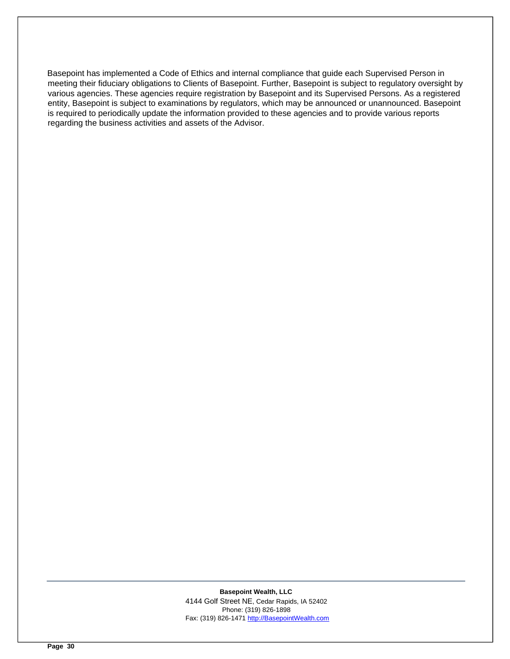Basepoint has implemented a Code of Ethics and internal compliance that guide each Supervised Person in meeting their fiduciary obligations to Clients of Basepoint. Further, Basepoint is subject to regulatory oversight by various agencies. These agencies require registration by Basepoint and its Supervised Persons. As a registered entity, Basepoint is subject to examinations by regulators, which may be announced or unannounced. Basepoint is required to periodically update the information provided to these agencies and to provide various reports regarding the business activities and assets of the Advisor.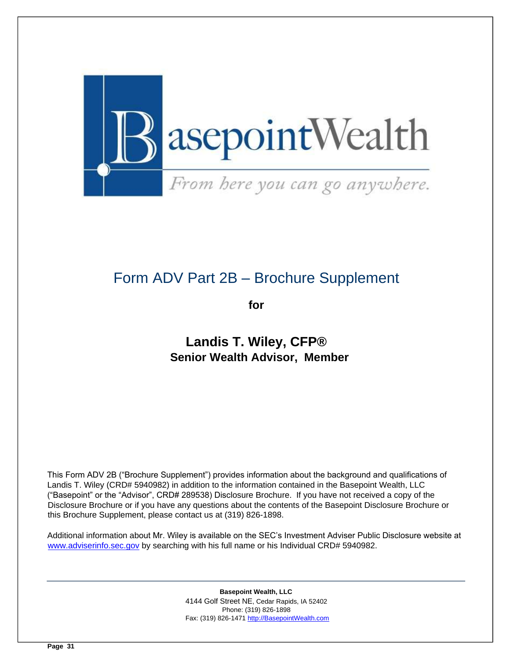

# <span id="page-30-0"></span>Form ADV Part 2B – Brochure Supplement

**for** 

# **Landis T. Wiley, CFP® Senior Wealth Advisor, Member**

This Form ADV 2B ("Brochure Supplement") provides information about the background and qualifications of Landis T. Wiley (CRD# 5940982) in addition to the information contained in the Basepoint Wealth, LLC ("Basepoint" or the "Advisor", CRD# 289538) Disclosure Brochure. If you have not received a copy of the Disclosure Brochure or if you have any questions about the contents of the Basepoint Disclosure Brochure or this Brochure Supplement, please contact us at (319) 826-1898.

Additional information about Mr. Wiley is available on the SEC's Investment Adviser Public Disclosure website at [www.adviserinfo.sec.gov](http://www.adviserinfo.sec.gov/) by searching with his full name or his Individual CRD# 5940982.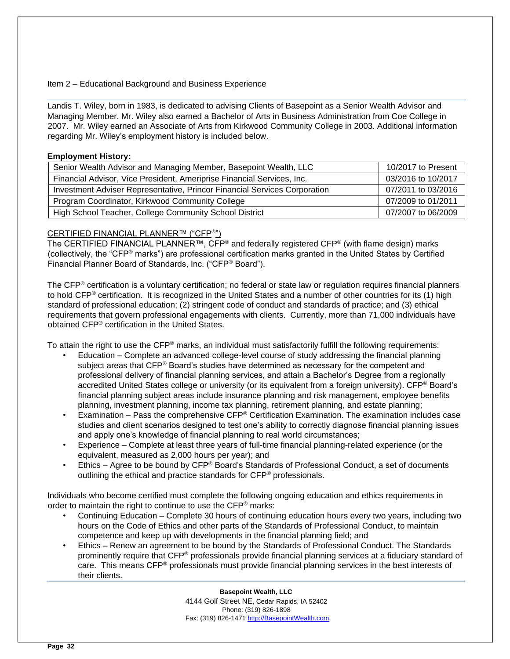# Item 2 – Educational Background and Business Experience

Landis T. Wiley, born in 1983, is dedicated to advising Clients of Basepoint as a Senior Wealth Advisor and Managing Member. Mr. Wiley also earned a Bachelor of Arts in Business Administration from Coe College in 2007. Mr. Wiley earned an Associate of Arts from Kirkwood Community College in 2003. Additional information regarding Mr. Wiley's employment history is included below.

# **Employment History:**

| Senior Wealth Advisor and Managing Member, Basepoint Wealth, LLC          | 10/2017 to Present |
|---------------------------------------------------------------------------|--------------------|
| Financial Advisor, Vice President, Ameriprise Financial Services, Inc.    | 03/2016 to 10/2017 |
| Investment Adviser Representative, Princor Financial Services Corporation | 07/2011 to 03/2016 |
| Program Coordinator, Kirkwood Community College                           | 07/2009 to 01/2011 |
| High School Teacher, College Community School District                    | 07/2007 to 06/2009 |

# CERTIFIED FINANCIAL PLANNER™ ("CFP®")

The CERTIFIED FINANCIAL PLANNER™, CFP<sup>®</sup> and federally registered CFP<sup>®</sup> (with flame design) marks (collectively, the "CFP® marks") are professional certification marks granted in the United States by Certified Financial Planner Board of Standards, Inc. ("CFP® Board").

The CFP<sup>®</sup> certification is a voluntary certification; no federal or state law or regulation reguires financial planners to hold CFP® certification. It is recognized in the United States and a number of other countries for its (1) high standard of professional education; (2) stringent code of conduct and standards of practice; and (3) ethical requirements that govern professional engagements with clients. Currently, more than 71,000 individuals have obtained CFP® certification in the United States.

To attain the right to use the CFP<sup>®</sup> marks, an individual must satisfactorily fulfill the following requirements:

- Education Complete an advanced college-level course of study addressing the financial planning subject areas that  $\text{CFP}^{\otimes}$  Board's studies have determined as necessary for the competent and professional delivery of financial planning services, and attain a Bachelor's Degree from a regionally accredited United States college or university (or its equivalent from a foreign university). CFP<sup>®</sup> Board's financial planning subject areas include insurance planning and risk management, employee benefits planning, investment planning, income tax planning, retirement planning, and estate planning;
- Examination Pass the comprehensive CFP® Certification Examination. The examination includes case studies and client scenarios designed to test one's ability to correctly diagnose financial planning issues and apply one's knowledge of financial planning to real world circumstances;
- Experience Complete at least three years of full-time financial planning-related experience (or the equivalent, measured as 2,000 hours per year); and
- Ethics Agree to be bound by CFP® Board's Standards of Professional Conduct, a set of documents outlining the ethical and practice standards for CFP® professionals.

Individuals who become certified must complete the following ongoing education and ethics requirements in order to maintain the right to continue to use the CFP<sup>®</sup> marks:

- Continuing Education Complete 30 hours of continuing education hours every two years, including two hours on the Code of Ethics and other parts of the Standards of Professional Conduct, to maintain competence and keep up with developments in the financial planning field; and
- Ethics Renew an agreement to be bound by the Standards of Professional Conduct. The Standards prominently require that CFP® professionals provide financial planning services at a fiduciary standard of care. This means CFP® professionals must provide financial planning services in the best interests of their clients.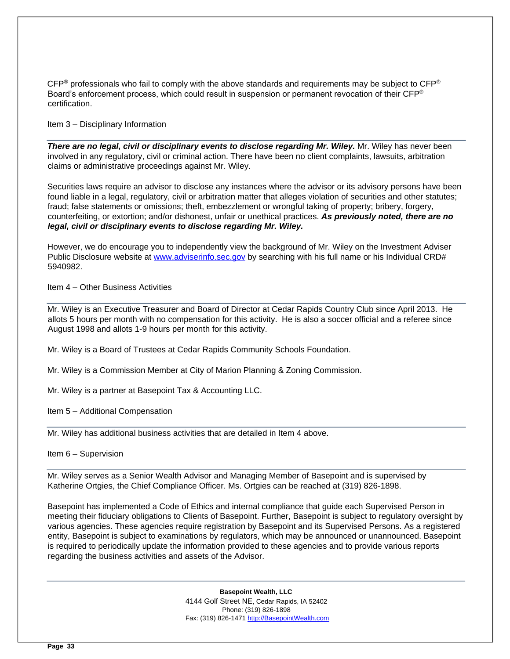CFP<sup>®</sup> professionals who fail to comply with the above standards and requirements may be subject to CFP<sup>®</sup> Board's enforcement process, which could result in suspension or permanent revocation of their CFP® certification.

Item 3 – Disciplinary Information

*There are no legal, civil or disciplinary events to disclose regarding Mr. Wiley.* Mr. Wiley has never been involved in any regulatory, civil or criminal action. There have been no client complaints, lawsuits, arbitration claims or administrative proceedings against Mr. Wiley.

Securities laws require an advisor to disclose any instances where the advisor or its advisory persons have been found liable in a legal, regulatory, civil or arbitration matter that alleges violation of securities and other statutes; fraud; false statements or omissions; theft, embezzlement or wrongful taking of property; bribery, forgery, counterfeiting, or extortion; and/or dishonest, unfair or unethical practices. *As previously noted, there are no legal, civil or disciplinary events to disclose regarding Mr. Wiley.* 

However, we do encourage you to independently view the background of Mr. Wiley on the Investment Adviser Public Disclosure website at [www.adviserinfo.sec.gov](http://www.adviserinfo.sec.gov/) by searching with his full name or his Individual CRD# 5940982.

Item 4 – Other Business Activities

Mr. Wiley is an Executive Treasurer and Board of Director at Cedar Rapids Country Club since April 2013. He allots 5 hours per month with no compensation for this activity. He is also a soccer official and a referee since August 1998 and allots 1-9 hours per month for this activity.

Mr. Wiley is a Board of Trustees at Cedar Rapids Community Schools Foundation.

Mr. Wiley is a Commission Member at City of Marion Planning & Zoning Commission.

Mr. Wiley is a partner at Basepoint Tax & Accounting LLC.

Item 5 – Additional Compensation

Mr. Wiley has additional business activities that are detailed in Item 4 above.

Item 6 – Supervision

Mr. Wiley serves as a Senior Wealth Advisor and Managing Member of Basepoint and is supervised by Katherine Ortgies, the Chief Compliance Officer. Ms. Ortgies can be reached at (319) 826-1898.

Basepoint has implemented a Code of Ethics and internal compliance that guide each Supervised Person in meeting their fiduciary obligations to Clients of Basepoint. Further, Basepoint is subject to regulatory oversight by various agencies. These agencies require registration by Basepoint and its Supervised Persons. As a registered entity, Basepoint is subject to examinations by regulators, which may be announced or unannounced. Basepoint is required to periodically update the information provided to these agencies and to provide various reports regarding the business activities and assets of the Advisor.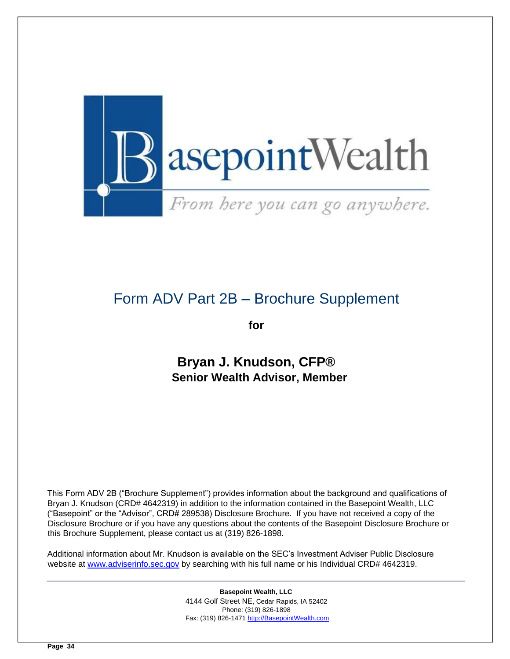

# <span id="page-33-0"></span>Form ADV Part 2B – Brochure Supplement

**for** 

**Bryan J. Knudson, CFP® Senior Wealth Advisor, Member** 

This Form ADV 2B ("Brochure Supplement") provides information about the background and qualifications of Bryan J. Knudson (CRD# 4642319) in addition to the information contained in the Basepoint Wealth, LLC ("Basepoint" or the "Advisor", CRD# 289538) Disclosure Brochure. If you have not received a copy of the Disclosure Brochure or if you have any questions about the contents of the Basepoint Disclosure Brochure or this Brochure Supplement, please contact us at (319) 826-1898.

Additional information about Mr. Knudson is available on the SEC's Investment Adviser Public Disclosure website at [www.adviserinfo.sec.gov](http://www.adviserinfo.sec.gov/) by searching with his full name or his Individual CRD# 4642319.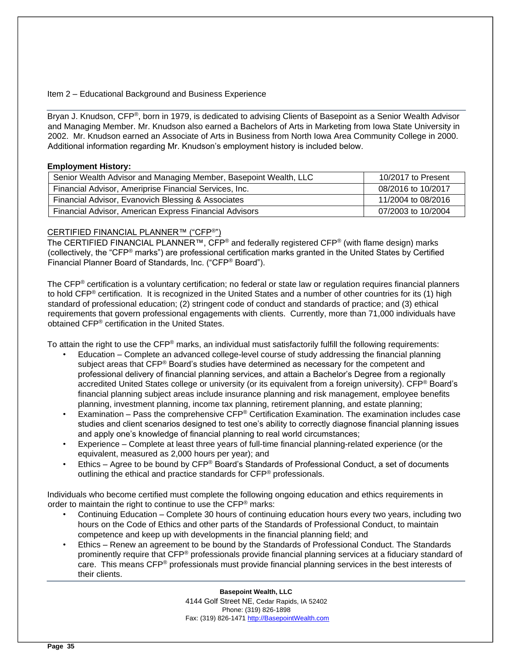Item 2 – Educational Background and Business Experience

Bryan J. Knudson, CFP®, born in 1979, is dedicated to advising Clients of Basepoint as a Senior Wealth Advisor and Managing Member. Mr. Knudson also earned a Bachelors of Arts in Marketing from Iowa State University in 2002. Mr. Knudson earned an Associate of Arts in Business from North Iowa Area Community College in 2000. Additional information regarding Mr. Knudson's employment history is included below.

# **Employment History:**

| Senior Wealth Advisor and Managing Member, Basepoint Wealth, LLC | 10/2017 to Present |
|------------------------------------------------------------------|--------------------|
| Financial Advisor, Ameriprise Financial Services, Inc.           | 08/2016 to 10/2017 |
| Financial Advisor, Evanovich Blessing & Associates               | 11/2004 to 08/2016 |
| Financial Advisor, American Express Financial Advisors           | 07/2003 to 10/2004 |

# CERTIFIED FINANCIAL PLANNER™ ("CFP®")

The CERTIFIED FINANCIAL PLANNER™, CFP<sup>®</sup> and federally registered CFP<sup>®</sup> (with flame design) marks (collectively, the "CFP® marks") are professional certification marks granted in the United States by Certified Financial Planner Board of Standards, Inc. ("CFP® Board").

The CFP<sup>®</sup> certification is a voluntary certification; no federal or state law or regulation requires financial planners to hold CFP® certification. It is recognized in the United States and a number of other countries for its (1) high standard of professional education; (2) stringent code of conduct and standards of practice; and (3) ethical requirements that govern professional engagements with clients. Currently, more than 71,000 individuals have obtained CFP® certification in the United States.

To attain the right to use the CFP<sup>®</sup> marks, an individual must satisfactorily fulfill the following requirements:

- Education Complete an advanced college-level course of study addressing the financial planning subject areas that CFP® Board's studies have determined as necessary for the competent and professional delivery of financial planning services, and attain a Bachelor's Degree from a regionally accredited United States college or university (or its equivalent from a foreign university). CFP® Board's financial planning subject areas include insurance planning and risk management, employee benefits planning, investment planning, income tax planning, retirement planning, and estate planning;
- Examination Pass the comprehensive CFP® Certification Examination. The examination includes case studies and client scenarios designed to test one's ability to correctly diagnose financial planning issues and apply one's knowledge of financial planning to real world circumstances;
- Experience Complete at least three years of full-time financial planning-related experience (or the equivalent, measured as 2,000 hours per year); and
- Ethics Agree to be bound by CFP® Board's Standards of Professional Conduct, a set of documents outlining the ethical and practice standards for CFP® professionals.

Individuals who become certified must complete the following ongoing education and ethics requirements in order to maintain the right to continue to use the CFP<sup>®</sup> marks:

- Continuing Education Complete 30 hours of continuing education hours every two years, including two hours on the Code of Ethics and other parts of the Standards of Professional Conduct, to maintain competence and keep up with developments in the financial planning field; and
- Ethics Renew an agreement to be bound by the Standards of Professional Conduct. The Standards prominently require that CFP® professionals provide financial planning services at a fiduciary standard of care. This means CFP® professionals must provide financial planning services in the best interests of their clients.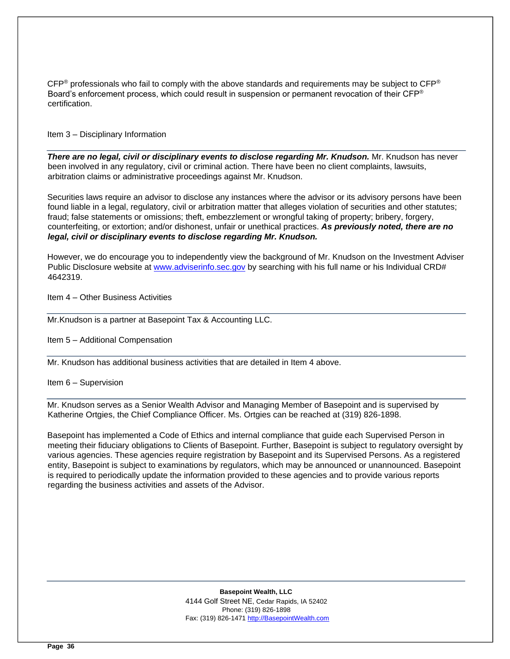$CFP<sup>®</sup>$  professionals who fail to comply with the above standards and requirements may be subject to  $CFP<sup>®</sup>$ Board's enforcement process, which could result in suspension or permanent revocation of their CFP® certification.

Item 3 – Disciplinary Information

*There are no legal, civil or disciplinary events to disclose regarding Mr. Knudson.* Mr. Knudson has never been involved in any regulatory, civil or criminal action. There have been no client complaints, lawsuits, arbitration claims or administrative proceedings against Mr. Knudson.

Securities laws require an advisor to disclose any instances where the advisor or its advisory persons have been found liable in a legal, regulatory, civil or arbitration matter that alleges violation of securities and other statutes; fraud; false statements or omissions; theft, embezzlement or wrongful taking of property; bribery, forgery, counterfeiting, or extortion; and/or dishonest, unfair or unethical practices. *As previously noted, there are no legal, civil or disciplinary events to disclose regarding Mr. Knudson.* 

However, we do encourage you to independently view the background of Mr. Knudson on the Investment Adviser Public Disclosure website at [www.adviserinfo.sec.gov](http://www.adviserinfo.sec.gov/) by searching with his full name or his Individual CRD# 4642319.

Item 4 – Other Business Activities

Mr.Knudson is a partner at Basepoint Tax & Accounting LLC.

Item 5 – Additional Compensation

Mr. Knudson has additional business activities that are detailed in Item 4 above.

Item 6 – Supervision

Mr. Knudson serves as a Senior Wealth Advisor and Managing Member of Basepoint and is supervised by Katherine Ortgies, the Chief Compliance Officer. Ms. Ortgies can be reached at (319) 826-1898.

Basepoint has implemented a Code of Ethics and internal compliance that guide each Supervised Person in meeting their fiduciary obligations to Clients of Basepoint. Further, Basepoint is subject to regulatory oversight by various agencies. These agencies require registration by Basepoint and its Supervised Persons. As a registered entity, Basepoint is subject to examinations by regulators, which may be announced or unannounced. Basepoint is required to periodically update the information provided to these agencies and to provide various reports regarding the business activities and assets of the Advisor.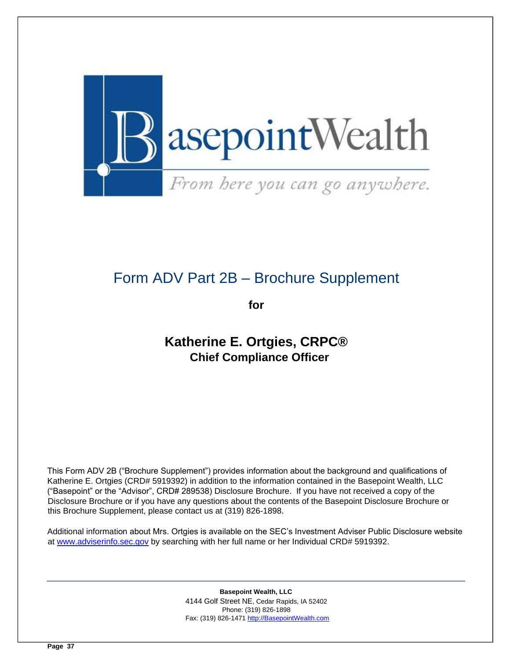

# <span id="page-36-0"></span>Form ADV Part 2B – Brochure Supplement

**for** 

# **Katherine E. Ortgies, CRPC® Chief Compliance Officer**

This Form ADV 2B ("Brochure Supplement") provides information about the background and qualifications of Katherine E. Ortgies (CRD# 5919392) in addition to the information contained in the Basepoint Wealth, LLC ("Basepoint" or the "Advisor", CRD# 289538) Disclosure Brochure. If you have not received a copy of the Disclosure Brochure or if you have any questions about the contents of the Basepoint Disclosure Brochure or this Brochure Supplement, please contact us at (319) 826-1898.

Additional information about Mrs. Ortgies is available on the SEC's Investment Adviser Public Disclosure website at [www.adviserinfo.sec.gov](http://www.adviserinfo.sec.gov/) [b](http://www.adviserinfo.sec.gov/)y searching with her full name or her Individual CRD# 5919392.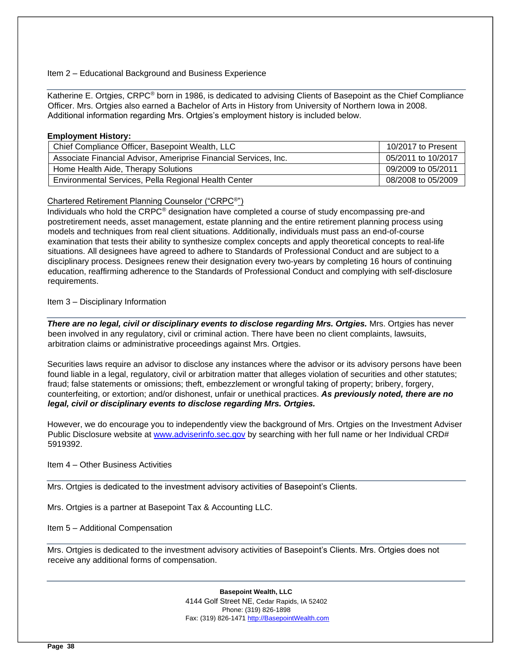# Item 2 – Educational Background and Business Experience

Katherine E. Ortgies, CRPC® born in 1986, is dedicated to advising Clients of Basepoint as the Chief Compliance Officer. Mrs. Ortgies also earned a Bachelor of Arts in History from University of Northern Iowa in 2008. Additional information regarding Mrs. Ortgies's employment history is included below.

# **Employment History:**

| Chief Compliance Officer, Basepoint Wealth, LLC                  | 10/2017 to Present |
|------------------------------------------------------------------|--------------------|
| Associate Financial Advisor, Ameriprise Financial Services, Inc. | 05/2011 to 10/2017 |
| Home Health Aide, Therapy Solutions                              | 09/2009 to 05/2011 |
| Environmental Services, Pella Regional Health Center             | 08/2008 to 05/2009 |

# Chartered Retirement Planning Counselor ("CRPC<sup>®</sup>")

Individuals who hold the CRPC® designation have completed a course of study encompassing pre-and postretirement needs, asset management, estate planning and the entire retirement planning process using models and techniques from real client situations. Additionally, individuals must pass an end-of-course examination that tests their ability to synthesize complex concepts and apply theoretical concepts to real-life situations. All designees have agreed to adhere to Standards of Professional Conduct and are subject to a disciplinary process. Designees renew their designation every two-years by completing 16 hours of continuing education, reaffirming adherence to the Standards of Professional Conduct and complying with self-disclosure requirements.

# Item 3 – Disciplinary Information

*There are no legal, civil or disciplinary events to disclose regarding Mrs. Ortgies.* Mrs. Ortgies has never been involved in any regulatory, civil or criminal action. There have been no client complaints, lawsuits, arbitration claims or administrative proceedings against Mrs. Ortgies.

Securities laws require an advisor to disclose any instances where the advisor or its advisory persons have been found liable in a legal, regulatory, civil or arbitration matter that alleges violation of securities and other statutes; fraud; false statements or omissions; theft, embezzlement or wrongful taking of property; bribery, forgery, counterfeiting, or extortion; and/or dishonest, unfair or unethical practices. *As previously noted, there are no legal, civil or disciplinary events to disclose regarding Mrs. Ortgies.* 

However, we do encourage you to independently view the background of Mrs. Ortgies on the Investment Adviser Public Disclosure website at [www.adviserinfo.sec.gov](http://www.adviserinfo.sec.gov/) by searching with her full name or her Individual CRD# 5919392.

Item 4 – Other Business Activities

Mrs. Ortgies is dedicated to the investment advisory activities of Basepoint's Clients.

Mrs. Ortgies is a partner at Basepoint Tax & Accounting LLC.

Item 5 – Additional Compensation

Mrs. Ortgies is dedicated to the investment advisory activities of Basepoint's Clients. Mrs. Ortgies does not receive any additional forms of compensation.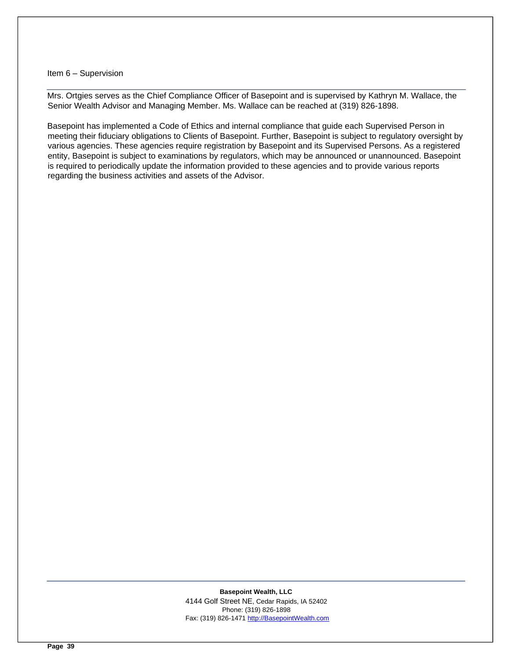#### Item 6 – Supervision

Mrs. Ortgies serves as the Chief Compliance Officer of Basepoint and is supervised by Kathryn M. Wallace, the Senior Wealth Advisor and Managing Member. Ms. Wallace can be reached at (319) 826-1898.

Basepoint has implemented a Code of Ethics and internal compliance that guide each Supervised Person in meeting their fiduciary obligations to Clients of Basepoint. Further, Basepoint is subject to regulatory oversight by various agencies. These agencies require registration by Basepoint and its Supervised Persons. As a registered entity, Basepoint is subject to examinations by regulators, which may be announced or unannounced. Basepoint is required to periodically update the information provided to these agencies and to provide various reports regarding the business activities and assets of the Advisor.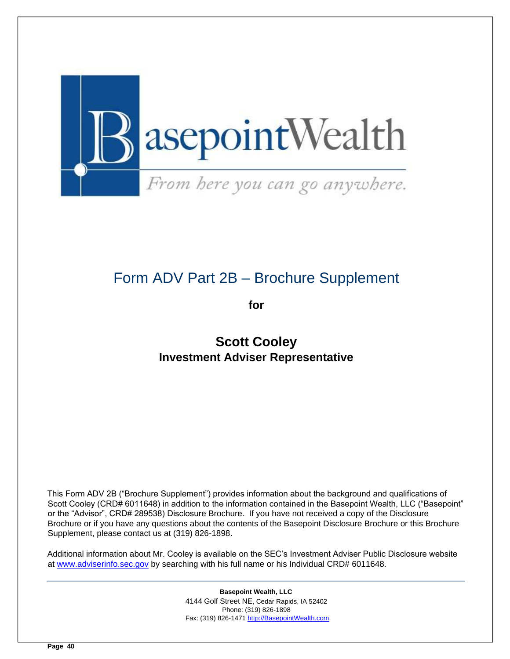

# <span id="page-39-0"></span>Form ADV Part 2B – Brochure Supplement

**for** 

# **Scott Cooley Investment Adviser Representative**

This Form ADV 2B ("Brochure Supplement") provides information about the background and qualifications of Scott Cooley (CRD# 6011648) in addition to the information contained in the Basepoint Wealth, LLC ("Basepoint" or the "Advisor", CRD# 289538) Disclosure Brochure. If you have not received a copy of the Disclosure Brochure or if you have any questions about the contents of the Basepoint Disclosure Brochure or this Brochure Supplement, please contact us at (319) 826-1898.

Additional information about Mr. Cooley is available on the SEC's Investment Adviser Public Disclosure website at [www.adviserinfo.sec.gov](http://www.adviserinfo.sec.gov/) [b](http://www.adviserinfo.sec.gov/)y searching with his full name or his Individual CRD# 6011648.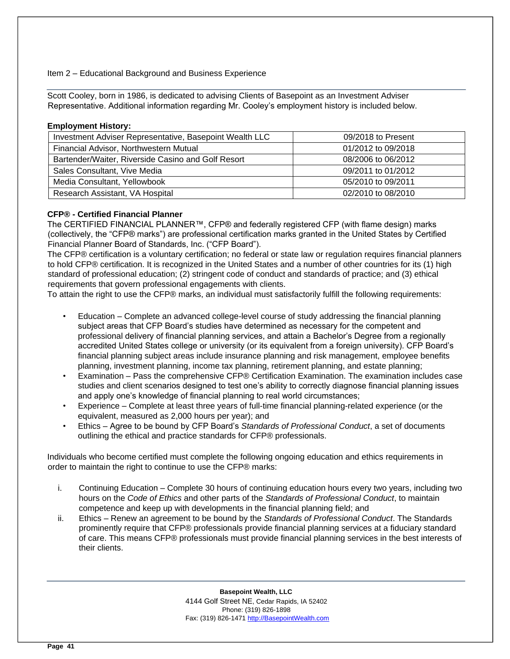# Item 2 – Educational Background and Business Experience

Scott Cooley, born in 1986, is dedicated to advising Clients of Basepoint as an Investment Adviser Representative. Additional information regarding Mr. Cooley's employment history is included below.

#### **Employment History:**

| Investment Adviser Representative, Basepoint Wealth LLC | 09/2018 to Present |
|---------------------------------------------------------|--------------------|
| Financial Advisor, Northwestern Mutual                  | 01/2012 to 09/2018 |
| Bartender/Waiter, Riverside Casino and Golf Resort      | 08/2006 to 06/2012 |
| Sales Consultant, Vive Media                            | 09/2011 to 01/2012 |
| Media Consultant, Yellowbook                            | 05/2010 to 09/2011 |
| Research Assistant, VA Hospital                         | 02/2010 to 08/2010 |

# **CFP® - Certified Financial Planner**

The CERTIFIED FINANCIAL PLANNER™, CFP® and federally registered CFP (with flame design) marks (collectively, the "CFP® marks") are professional certification marks granted in the United States by Certified Financial Planner Board of Standards, Inc. ("CFP Board").

The CFP® certification is a voluntary certification; no federal or state law or regulation requires financial planners to hold CFP® certification. It is recognized in the United States and a number of other countries for its (1) high standard of professional education; (2) stringent code of conduct and standards of practice; and (3) ethical requirements that govern professional engagements with clients.

To attain the right to use the CFP® marks, an individual must satisfactorily fulfill the following requirements:

- Education Complete an advanced college-level course of study addressing the financial planning subject areas that CFP Board's studies have determined as necessary for the competent and professional delivery of financial planning services, and attain a Bachelor's Degree from a regionally accredited United States college or university (or its equivalent from a foreign university). CFP Board's financial planning subject areas include insurance planning and risk management, employee benefits planning, investment planning, income tax planning, retirement planning, and estate planning;
- Examination Pass the comprehensive CFP® Certification Examination. The examination includes case studies and client scenarios designed to test one's ability to correctly diagnose financial planning issues and apply one's knowledge of financial planning to real world circumstances;
- Experience Complete at least three years of full-time financial planning-related experience (or the equivalent, measured as 2,000 hours per year); and
- Ethics Agree to be bound by CFP Board's *Standards of Professional Conduct*, a set of documents outlining the ethical and practice standards for CFP® professionals.

Individuals who become certified must complete the following ongoing education and ethics requirements in order to maintain the right to continue to use the CFP® marks:

- i. Continuing Education Complete 30 hours of continuing education hours every two years, including two hours on the *Code of Ethics* and other parts of the *Standards of Professional Conduct*, to maintain competence and keep up with developments in the financial planning field; and
- ii. Ethics Renew an agreement to be bound by the *Standards of Professional Conduct*. The Standards prominently require that CFP® professionals provide financial planning services at a fiduciary standard of care. This means CFP® professionals must provide financial planning services in the best interests of their clients.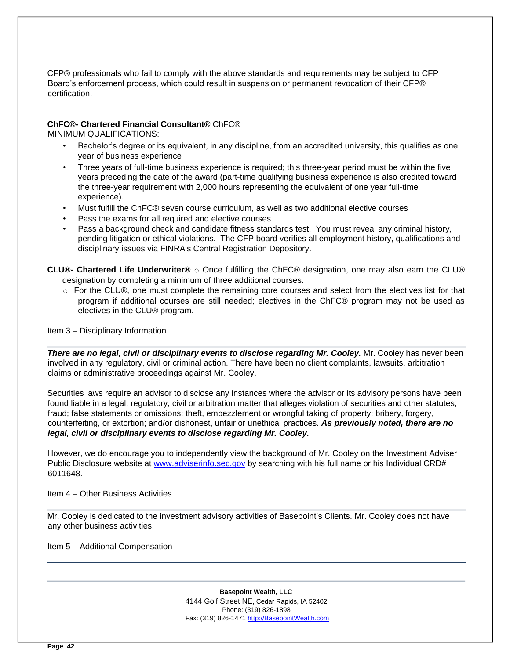CFP® professionals who fail to comply with the above standards and requirements may be subject to CFP Board's enforcement process, which could result in suspension or permanent revocation of their CFP® certification.

#### **ChFC®- Chartered Financial Consultant®** ChFC® MINIMUM QUALIFICATIONS:

- Bachelor's degree or its equivalent, in any discipline, from an accredited university, this qualifies as one year of business experience
- Three years of full-time business experience is required; this three-year period must be within the five years preceding the date of the award (part-time qualifying business experience is also credited toward the three-year requirement with 2,000 hours representing the equivalent of one year full-time experience).
- Must fulfill the ChFC® seven course curriculum, as well as two additional elective courses
- Pass the exams for all required and elective courses
- Pass a background check and candidate fitness standards test. You must reveal any criminal history, pending litigation or ethical violations. The CFP board verifies all employment history, qualifications and disciplinary issues via FINRA's Central Registration Depository.

**CLU®- Chartered Life Underwriter®** o Once fulfilling the ChFC® designation, one may also earn the CLU® designation by completing a minimum of three additional courses.

o For the CLU®, one must complete the remaining core courses and select from the electives list for that program if additional courses are still needed; electives in the ChFC® program may not be used as electives in the CLU® program.

Item 3 – Disciplinary Information

*There are no legal, civil or disciplinary events to disclose regarding Mr. Cooley.* Mr. Cooley has never been involved in any regulatory, civil or criminal action. There have been no client complaints, lawsuits, arbitration claims or administrative proceedings against Mr. Cooley.

Securities laws require an advisor to disclose any instances where the advisor or its advisory persons have been found liable in a legal, regulatory, civil or arbitration matter that alleges violation of securities and other statutes; fraud; false statements or omissions; theft, embezzlement or wrongful taking of property; bribery, forgery, counterfeiting, or extortion; and/or dishonest, unfair or unethical practices. *As previously noted, there are no legal, civil or disciplinary events to disclose regarding Mr. Cooley.* 

However, we do encourage you to independently view the background of Mr. Cooley on the Investment Adviser Public Disclosure website at [www.adviserinfo.sec.gov](http://www.adviserinfo.sec.gov/) by searching with his full name or his Individual CRD# 6011648.

Item 4 – Other Business Activities

Mr. Cooley is dedicated to the investment advisory activities of Basepoint's Clients. Mr. Cooley does not have any other business activities.

Item 5 – Additional Compensation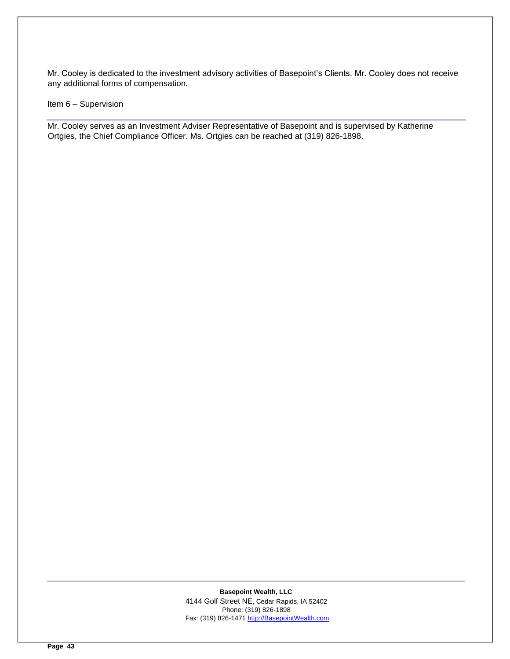Mr. Cooley is dedicated to the investment advisory activities of Basepoint's Clients. Mr. Cooley does not receive any additional forms of compensation.

Item 6 – Supervision

Mr. Cooley serves as an Investment Adviser Representative of Basepoint and is supervised by Katherine Ortgies, the Chief Compliance Officer. Ms. Ortgies can be reached at (319) 826-1898.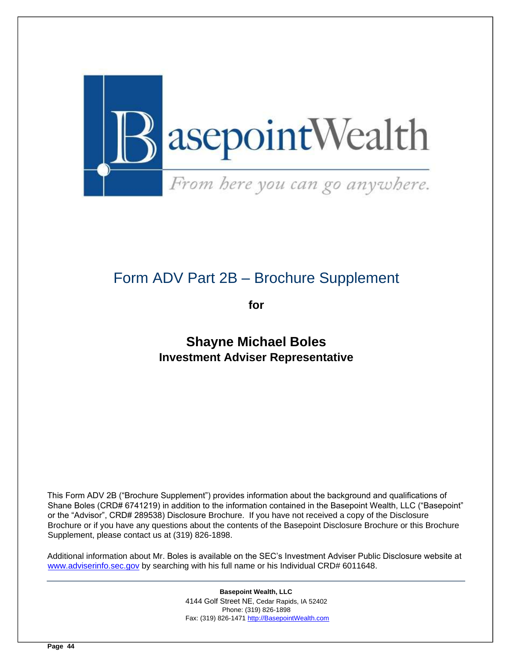

# <span id="page-43-0"></span>Form ADV Part 2B – Brochure Supplement

**for** 

**Shayne Michael Boles Investment Adviser Representative** 

This Form ADV 2B ("Brochure Supplement") provides information about the background and qualifications of Shane Boles (CRD# 6741219) in addition to the information contained in the Basepoint Wealth, LLC ("Basepoint" or the "Advisor", CRD# 289538) Disclosure Brochure. If you have not received a copy of the Disclosure Brochure or if you have any questions about the contents of the Basepoint Disclosure Brochure or this Brochure Supplement, please contact us at (319) 826-1898.

Additional information about Mr. Boles is available on the SEC's Investment Adviser Public Disclosure website at [www.adviserinfo.sec.gov](http://www.adviserinfo.sec.gov/) by searching with his full name or his Individual CRD# 6011648.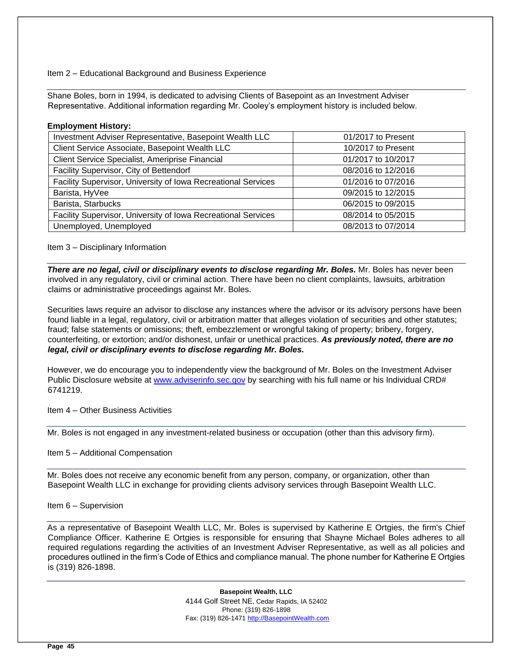#### Item 2 – Educational Background and Business Experience

Shane Boles, born in 1994, is dedicated to advising Clients of Basepoint as an Investment Adviser Representative. Additional information regarding Mr. Cooley's employment history is included below.

#### **Employment History:**

| Investment Adviser Representative, Basepoint Wealth LLC       | 01/2017 to Present |
|---------------------------------------------------------------|--------------------|
| Client Service Associate, Basepoint Wealth LLC                | 10/2017 to Present |
| Client Service Specialist, Ameriprise Financial               | 01/2017 to 10/2017 |
| Facility Supervisor, City of Bettendorf                       | 08/2016 to 12/2016 |
| Facility Supervisor, University of Iowa Recreational Services | 01/2016 to 07/2016 |
| Barista, HyVee                                                | 09/2015 to 12/2015 |
| Barista, Starbucks                                            | 06/2015 to 09/2015 |
| Facility Supervisor, University of Iowa Recreational Services | 08/2014 to 05/2015 |
| Unemployed, Unemployed                                        | 08/2013 to 07/2014 |

Item 3 – Disciplinary Information

*There are no legal, civil or disciplinary events to disclose regarding Mr. Boles.* Mr. Boles has never been involved in any regulatory, civil or criminal action. There have been no client complaints, lawsuits, arbitration claims or administrative proceedings against Mr. Boles.

Securities laws require an advisor to disclose any instances where the advisor or its advisory persons have been found liable in a legal, regulatory, civil or arbitration matter that alleges violation of securities and other statutes; fraud; false statements or omissions; theft, embezzlement or wrongful taking of property; bribery, forgery, counterfeiting, or extortion; and/or dishonest, unfair or unethical practices. *As previously noted, there are no legal, civil or disciplinary events to disclose regarding Mr. Boles.* 

However, we do encourage you to independently view the background of Mr. Boles on the Investment Adviser Public Disclosure website at [www.adviserinfo.sec.gov](http://www.adviserinfo.sec.gov/) by searching with his full name or his Individual CRD# 6741219.

Item 4 – Other Business Activities

Mr. Boles is not engaged in any investment-related business or occupation (other than this advisory firm).

Item 5 – Additional Compensation

Mr. Boles does not receive any economic benefit from any person, company, or organization, other than Basepoint Wealth LLC in exchange for providing clients advisory services through Basepoint Wealth LLC.

Item 6 – Supervision

As a representative of Basepoint Wealth LLC, Mr. Boles is supervised by Katherine E Ortgies, the firm's Chief Compliance Officer. Katherine E Ortgies is responsible for ensuring that Shayne Michael Boles adheres to all required regulations regarding the activities of an Investment Adviser Representative, as well as all policies and procedures outlined in the firm's Code of Ethics and compliance manual. The phone number for Katherine E Ortgies is (319) 826-1898.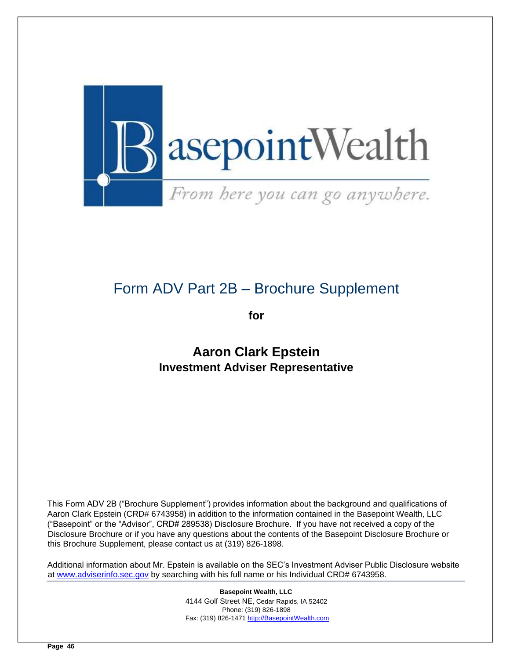

# <span id="page-45-0"></span>Form ADV Part 2B – Brochure Supplement

**for** 

# **Aaron Clark Epstein Investment Adviser Representative**

This Form ADV 2B ("Brochure Supplement") provides information about the background and qualifications of Aaron Clark Epstein (CRD# 6743958) in addition to the information contained in the Basepoint Wealth, LLC ("Basepoint" or the "Advisor", CRD# 289538) Disclosure Brochure. If you have not received a copy of the Disclosure Brochure or if you have any questions about the contents of the Basepoint Disclosure Brochure or this Brochure Supplement, please contact us at (319) 826-1898.

Additional information about Mr. Epstein is available on the SEC's Investment Adviser Public Disclosure website at [www.adviserinfo.sec.gov](http://www.adviserinfo.sec.gov/) [b](http://www.adviserinfo.sec.gov/)y searching with his full name or his Individual CRD# 6743958.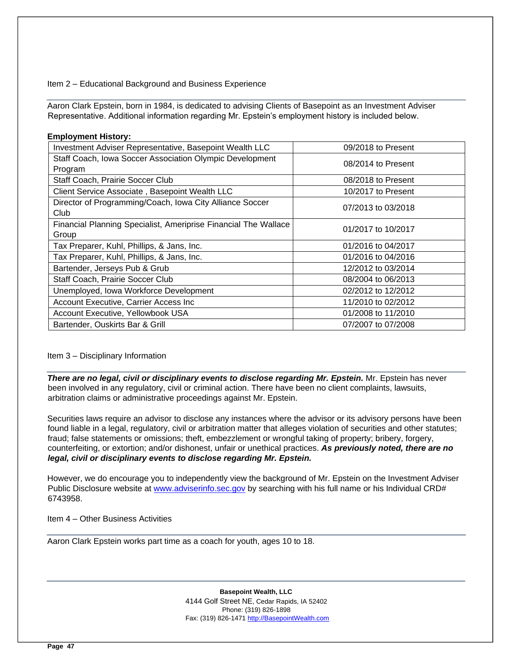Item 2 – Educational Background and Business Experience

Aaron Clark Epstein, born in 1984, is dedicated to advising Clients of Basepoint as an Investment Adviser Representative. Additional information regarding Mr. Epstein's employment history is included below.

| <b>Employment History:</b>                                      |                    |
|-----------------------------------------------------------------|--------------------|
| Investment Adviser Representative, Basepoint Wealth LLC         | 09/2018 to Present |
| Staff Coach, Iowa Soccer Association Olympic Development        | 08/2014 to Present |
| Program                                                         |                    |
| Staff Coach, Prairie Soccer Club                                | 08/2018 to Present |
| Client Service Associate, Basepoint Wealth LLC                  | 10/2017 to Present |
| Director of Programming/Coach, Iowa City Alliance Soccer        | 07/2013 to 03/2018 |
| Club                                                            |                    |
| Financial Planning Specialist, Ameriprise Financial The Wallace | 01/2017 to 10/2017 |
| Group                                                           |                    |
| Tax Preparer, Kuhl, Phillips, & Jans, Inc.                      | 01/2016 to 04/2017 |
| Tax Preparer, Kuhl, Phillips, & Jans, Inc.                      | 01/2016 to 04/2016 |
| Bartender, Jerseys Pub & Grub                                   | 12/2012 to 03/2014 |
| Staff Coach, Prairie Soccer Club                                | 08/2004 to 06/2013 |
| Unemployed, Iowa Workforce Development                          | 02/2012 to 12/2012 |
| Account Executive, Carrier Access Inc                           | 11/2010 to 02/2012 |
| Account Executive, Yellowbook USA                               | 01/2008 to 11/2010 |
| Bartender, Ouskirts Bar & Grill                                 | 07/2007 to 07/2008 |

#### Item 3 – Disciplinary Information

*There are no legal, civil or disciplinary events to disclose regarding Mr. Epstein.* Mr. Epstein has never been involved in any regulatory, civil or criminal action. There have been no client complaints, lawsuits, arbitration claims or administrative proceedings against Mr. Epstein.

Securities laws require an advisor to disclose any instances where the advisor or its advisory persons have been found liable in a legal, regulatory, civil or arbitration matter that alleges violation of securities and other statutes; fraud; false statements or omissions; theft, embezzlement or wrongful taking of property; bribery, forgery, counterfeiting, or extortion; and/or dishonest, unfair or unethical practices. *As previously noted, there are no legal, civil or disciplinary events to disclose regarding Mr. Epstein.* 

However, we do encourage you to independently view the background of Mr. Epstein on the Investment Adviser Public Disclosure website at [www.adviserinfo.sec.gov](http://www.adviserinfo.sec.gov/) by searching with his full name or his Individual CRD# 6743958.

Item 4 – Other Business Activities

Aaron Clark Epstein works part time as a coach for youth, ages 10 to 18.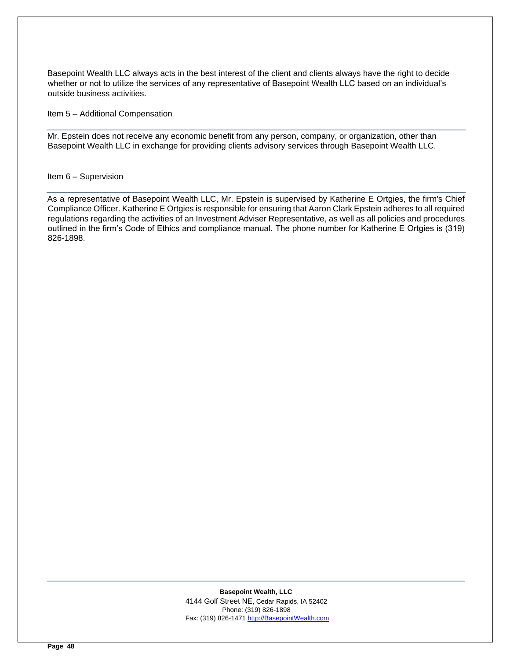Basepoint Wealth LLC always acts in the best interest of the client and clients always have the right to decide whether or not to utilize the services of any representative of Basepoint Wealth LLC based on an individual's outside business activities.

Item 5 – Additional Compensation

Mr. Epstein does not receive any economic benefit from any person, company, or organization, other than Basepoint Wealth LLC in exchange for providing clients advisory services through Basepoint Wealth LLC.

#### Item 6 – Supervision

As a representative of Basepoint Wealth LLC, Mr. Epstein is supervised by Katherine E Ortgies, the firm's Chief Compliance Officer. Katherine E Ortgies is responsible for ensuring that Aaron Clark Epstein adheres to all required regulations regarding the activities of an Investment Adviser Representative, as well as all policies and procedures outlined in the firm's Code of Ethics and compliance manual. The phone number for Katherine E Ortgies is (319) 826-1898.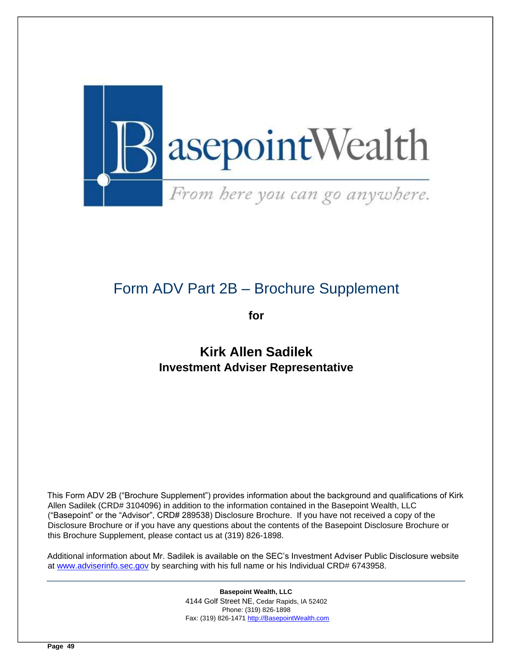

# <span id="page-48-0"></span>Form ADV Part 2B – Brochure Supplement

**for** 

**Kirk Allen Sadilek Investment Adviser Representative** 

This Form ADV 2B ("Brochure Supplement") provides information about the background and qualifications of Kirk Allen Sadilek (CRD# 3104096) in addition to the information contained in the Basepoint Wealth, LLC ("Basepoint" or the "Advisor", CRD# 289538) Disclosure Brochure. If you have not received a copy of the Disclosure Brochure or if you have any questions about the contents of the Basepoint Disclosure Brochure or this Brochure Supplement, please contact us at (319) 826-1898.

Additional information about Mr. Sadilek is available on the SEC's Investment Adviser Public Disclosure website at [www.adviserinfo.sec.gov](http://www.adviserinfo.sec.gov/) [b](http://www.adviserinfo.sec.gov/)y searching with his full name or his Individual CRD# 6743958.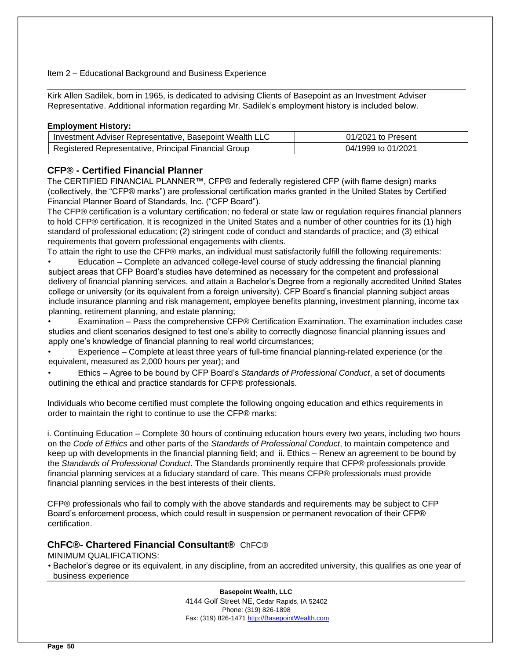#### Item 2 – Educational Background and Business Experience

Kirk Allen Sadilek, born in 1965, is dedicated to advising Clients of Basepoint as an Investment Adviser Representative. Additional information regarding Mr. Sadilek's employment history is included below.

# **Employment History:**

| I Investment Adviser Representative, Basepoint Wealth LLC | 01/2021 to Present |
|-----------------------------------------------------------|--------------------|
| Registered Representative, Principal Financial Group      | 04/1999 to 01/2021 |

# **CFP® - Certified Financial Planner**

The CERTIFIED FINANCIAL PLANNER™, CFP® and federally registered CFP (with flame design) marks (collectively, the "CFP® marks") are professional certification marks granted in the United States by Certified Financial Planner Board of Standards, Inc. ("CFP Board").

The CFP® certification is a voluntary certification; no federal or state law or regulation requires financial planners to hold CFP® certification. It is recognized in the United States and a number of other countries for its (1) high standard of professional education; (2) stringent code of conduct and standards of practice; and (3) ethical requirements that govern professional engagements with clients.

To attain the right to use the CFP® marks, an individual must satisfactorily fulfill the following requirements:

• Education – Complete an advanced college-level course of study addressing the financial planning subject areas that CFP Board's studies have determined as necessary for the competent and professional delivery of financial planning services, and attain a Bachelor's Degree from a regionally accredited United States college or university (or its equivalent from a foreign university). CFP Board's financial planning subject areas include insurance planning and risk management, employee benefits planning, investment planning, income tax planning, retirement planning, and estate planning;

• Examination – Pass the comprehensive CFP® Certification Examination. The examination includes case studies and client scenarios designed to test one's ability to correctly diagnose financial planning issues and apply one's knowledge of financial planning to real world circumstances;

• Experience – Complete at least three years of full-time financial planning-related experience (or the equivalent, measured as 2,000 hours per year); and

• Ethics – Agree to be bound by CFP Board's *Standards of Professional Conduct*, a set of documents outlining the ethical and practice standards for CFP® professionals.

Individuals who become certified must complete the following ongoing education and ethics requirements in order to maintain the right to continue to use the CFP® marks:

i. Continuing Education – Complete 30 hours of continuing education hours every two years, including two hours on the *Code of Ethics* and other parts of the *Standards of Professional Conduct*, to maintain competence and keep up with developments in the financial planning field; and ii. Ethics – Renew an agreement to be bound by the *Standards of Professional Conduct*. The Standards prominently require that CFP® professionals provide financial planning services at a fiduciary standard of care. This means CFP® professionals must provide financial planning services in the best interests of their clients.

CFP® professionals who fail to comply with the above standards and requirements may be subject to CFP Board's enforcement process, which could result in suspension or permanent revocation of their CFP® certification.

# **ChFC®- Chartered Financial Consultant®** ChFC®

MINIMUM QUALIFICATIONS:

• Bachelor's degree or its equivalent, in any discipline, from an accredited university, this qualifies as one year of business experience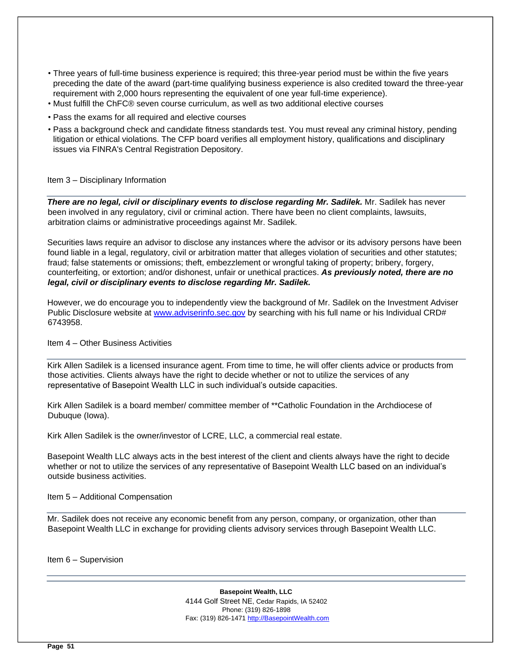- Three years of full-time business experience is required; this three-year period must be within the five years preceding the date of the award (part-time qualifying business experience is also credited toward the three-year requirement with 2,000 hours representing the equivalent of one year full-time experience).
- Must fulfill the ChFC® seven course curriculum, as well as two additional elective courses
- Pass the exams for all required and elective courses
- Pass a background check and candidate fitness standards test. You must reveal any criminal history, pending litigation or ethical violations. The CFP board verifies all employment history, qualifications and disciplinary issues via FINRA's Central Registration Depository.

# Item 3 – Disciplinary Information

*There are no legal, civil or disciplinary events to disclose regarding Mr. Sadilek.* Mr. Sadilek has never been involved in any regulatory, civil or criminal action. There have been no client complaints, lawsuits, arbitration claims or administrative proceedings against Mr. Sadilek.

Securities laws require an advisor to disclose any instances where the advisor or its advisory persons have been found liable in a legal, regulatory, civil or arbitration matter that alleges violation of securities and other statutes; fraud; false statements or omissions; theft, embezzlement or wrongful taking of property; bribery, forgery, counterfeiting, or extortion; and/or dishonest, unfair or unethical practices. *As previously noted, there are no legal, civil or disciplinary events to disclose regarding Mr. Sadilek.* 

However, we do encourage you to independently view the background of Mr. Sadilek on the Investment Adviser Public Disclosure website at [www.adviserinfo.sec.gov](http://www.adviserinfo.sec.gov/) by searching with his full name or his Individual CRD# 6743958.

Item 4 – Other Business Activities

Kirk Allen Sadilek is a licensed insurance agent. From time to time, he will offer clients advice or products from those activities. Clients always have the right to decide whether or not to utilize the services of any representative of Basepoint Wealth LLC in such individual's outside capacities.

Kirk Allen Sadilek is a board member/ committee member of \*\*Catholic Foundation in the Archdiocese of Dubuque (Iowa).

Kirk Allen Sadilek is the owner/investor of LCRE, LLC, a commercial real estate.

Basepoint Wealth LLC always acts in the best interest of the client and clients always have the right to decide whether or not to utilize the services of any representative of Basepoint Wealth LLC based on an individual's outside business activities.

Item 5 – Additional Compensation

Mr. Sadilek does not receive any economic benefit from any person, company, or organization, other than Basepoint Wealth LLC in exchange for providing clients advisory services through Basepoint Wealth LLC.

Item 6 – Supervision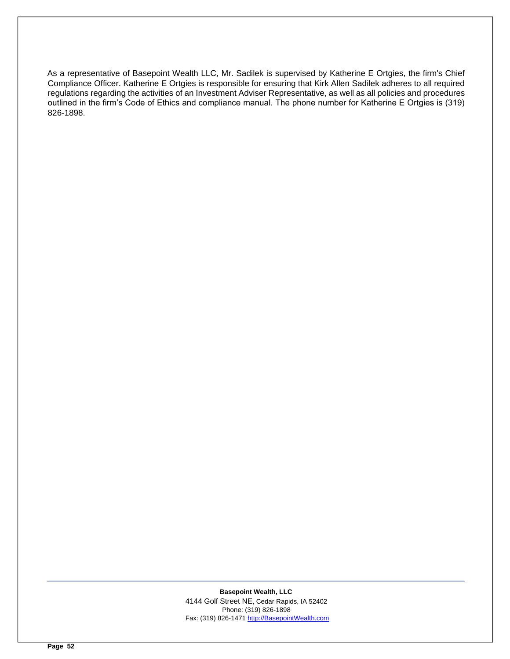As a representative of Basepoint Wealth LLC, Mr. Sadilek is supervised by Katherine E Ortgies, the firm's Chief Compliance Officer. Katherine E Ortgies is responsible for ensuring that Kirk Allen Sadilek adheres to all required regulations regarding the activities of an Investment Adviser Representative, as well as all policies and procedures outlined in the firm's Code of Ethics and compliance manual. The phone number for Katherine E Ortgies is (319) 826-1898.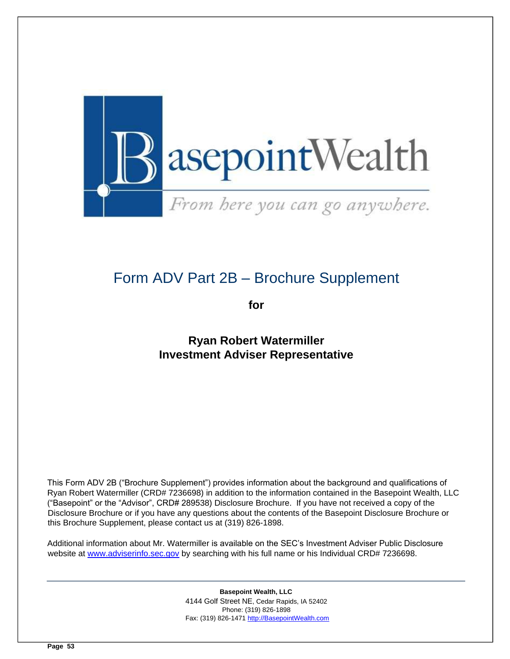

# <span id="page-52-0"></span>Form ADV Part 2B – Brochure Supplement

**for** 

**Ryan Robert Watermiller Investment Adviser Representative** 

This Form ADV 2B ("Brochure Supplement") provides information about the background and qualifications of Ryan Robert Watermiller (CRD# 7236698) in addition to the information contained in the Basepoint Wealth, LLC ("Basepoint" or the "Advisor", CRD# 289538) Disclosure Brochure. If you have not received a copy of the Disclosure Brochure or if you have any questions about the contents of the Basepoint Disclosure Brochure or this Brochure Supplement, please contact us at (319) 826-1898.

Additional information about Mr. Watermiller is available on the SEC's Investment Adviser Public Disclosure website at [www.adviserinfo.sec.gov](http://www.adviserinfo.sec.gov/) by searching with his full name or his Individual CRD# 7236698.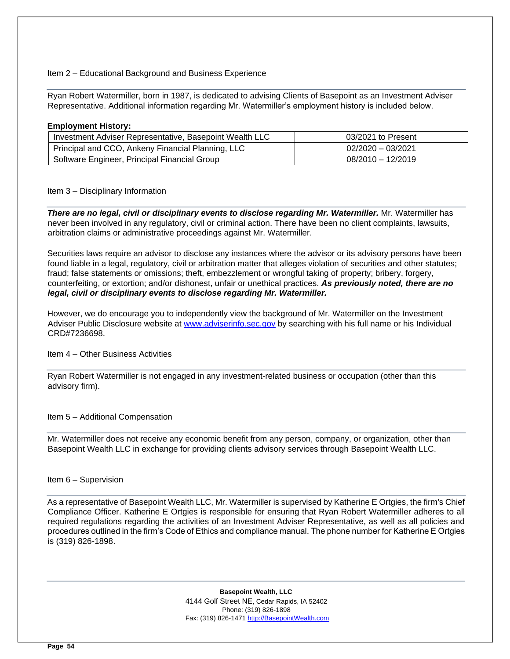#### Item 2 – Educational Background and Business Experience

Ryan Robert Watermiller, born in 1987, is dedicated to advising Clients of Basepoint as an Investment Adviser Representative. Additional information regarding Mr. Watermiller's employment history is included below.

#### **Employment History:**

| Investment Adviser Representative, Basepoint Wealth LLC | 03/2021 to Present  |
|---------------------------------------------------------|---------------------|
| Principal and CCO, Ankeny Financial Planning, LLC       | $02/2020 - 03/2021$ |
| Software Engineer, Principal Financial Group            | $08/2010 - 12/2019$ |

Item 3 – Disciplinary Information

*There are no legal, civil or disciplinary events to disclose regarding Mr. Watermiller.* Mr. Watermiller has never been involved in any regulatory, civil or criminal action. There have been no client complaints, lawsuits, arbitration claims or administrative proceedings against Mr. Watermiller.

Securities laws require an advisor to disclose any instances where the advisor or its advisory persons have been found liable in a legal, regulatory, civil or arbitration matter that alleges violation of securities and other statutes; fraud; false statements or omissions; theft, embezzlement or wrongful taking of property; bribery, forgery, counterfeiting, or extortion; and/or dishonest, unfair or unethical practices. *As previously noted, there are no legal, civil or disciplinary events to disclose regarding Mr. Watermiller.* 

However, we do encourage you to independently view the background of Mr. Watermiller on the Investment Adviser Public Disclosure website a[t www.adviserinfo.sec.gov](http://www.adviserinfo.sec.gov/) [b](http://www.adviserinfo.sec.gov/)y searching with his full name or his Individual CRD#7236698.

# Item 4 – Other Business Activities

Ryan Robert Watermiller is not engaged in any investment-related business or occupation (other than this advisory firm).

Item 5 – Additional Compensation

Mr. Watermiller does not receive any economic benefit from any person, company, or organization, other than Basepoint Wealth LLC in exchange for providing clients advisory services through Basepoint Wealth LLC.

#### Item 6 – Supervision

As a representative of Basepoint Wealth LLC, Mr. Watermiller is supervised by Katherine E Ortgies, the firm's Chief Compliance Officer. Katherine E Ortgies is responsible for ensuring that Ryan Robert Watermiller adheres to all required regulations regarding the activities of an Investment Adviser Representative, as well as all policies and procedures outlined in the firm's Code of Ethics and compliance manual. The phone number for Katherine E Ortgies is (319) 826-1898.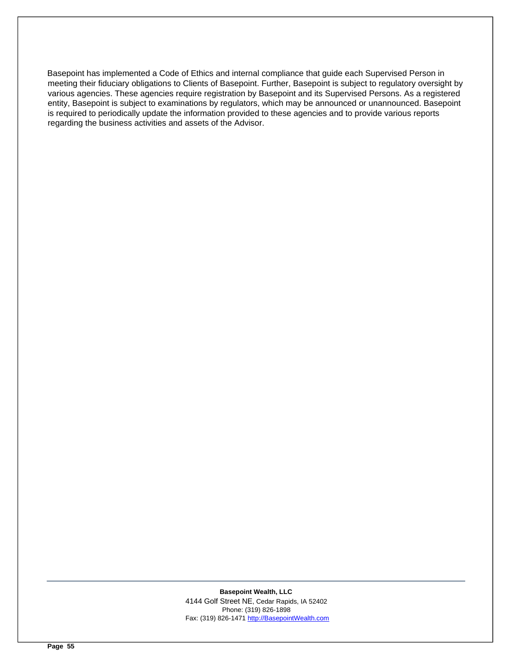Basepoint has implemented a Code of Ethics and internal compliance that guide each Supervised Person in meeting their fiduciary obligations to Clients of Basepoint. Further, Basepoint is subject to regulatory oversight by various agencies. These agencies require registration by Basepoint and its Supervised Persons. As a registered entity, Basepoint is subject to examinations by regulators, which may be announced or unannounced. Basepoint is required to periodically update the information provided to these agencies and to provide various reports regarding the business activities and assets of the Advisor.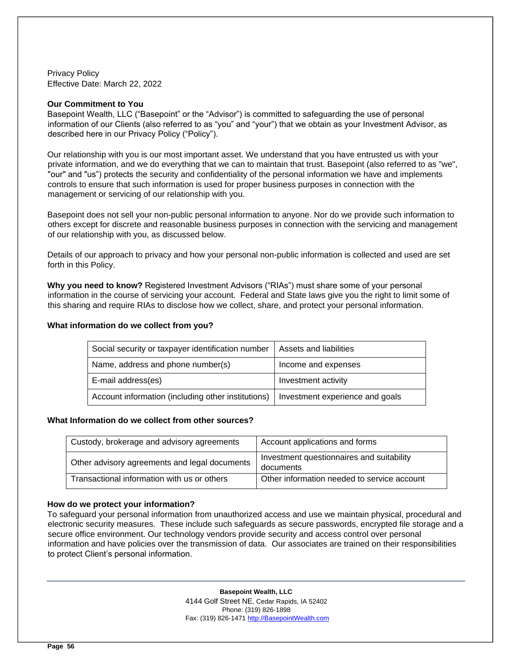<span id="page-55-0"></span>Privacy Policy Effective Date: March 22, 2022

#### **Our Commitment to You**

Basepoint Wealth, LLC ("Basepoint" or the "Advisor") is committed to safeguarding the use of personal information of our Clients (also referred to as "you" and "your") that we obtain as your Investment Advisor, as described here in our Privacy Policy ("Policy").

Our relationship with you is our most important asset. We understand that you have entrusted us with your private information, and we do everything that we can to maintain that trust. Basepoint (also referred to as "we", "our" and "us") protects the security and confidentiality of the personal information we have and implements controls to ensure that such information is used for proper business purposes in connection with the management or servicing of our relationship with you.

Basepoint does not sell your non-public personal information to anyone. Nor do we provide such information to others except for discrete and reasonable business purposes in connection with the servicing and management of our relationship with you, as discussed below.

Details of our approach to privacy and how your personal non-public information is collected and used are set forth in this Policy.

**Why you need to know?** Registered Investment Advisors ("RIAs") must share some of your personal information in the course of servicing your account. Federal and State laws give you the right to limit some of this sharing and require RIAs to disclose how we collect, share, and protect your personal information.

# **What information do we collect from you?**

| Social security or taxpayer identification number  | Assets and liabilities          |  |
|----------------------------------------------------|---------------------------------|--|
| Name, address and phone number(s)                  | Income and expenses             |  |
| E-mail address(es)                                 | Investment activity             |  |
| Account information (including other institutions) | Investment experience and goals |  |

#### **What Information do we collect from other sources?**

| Custody, brokerage and advisory agreements    | Account applications and forms                         |
|-----------------------------------------------|--------------------------------------------------------|
| Other advisory agreements and legal documents | Investment questionnaires and suitability<br>documents |
| Transactional information with us or others   | Other information needed to service account            |

# **How do we protect your information?**

To safeguard your personal information from unauthorized access and use we maintain physical, procedural and electronic security measures. These include such safeguards as secure passwords, encrypted file storage and a secure office environment. Our technology vendors provide security and access control over personal information and have policies over the transmission of data. Our associates are trained on their responsibilities to protect Client's personal information.